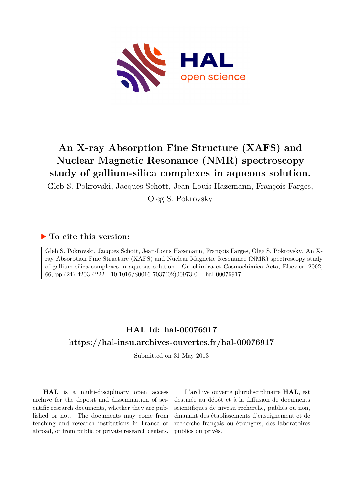

# **An X-ray Absorption Fine Structure (XAFS) and Nuclear Magnetic Resonance (NMR) spectroscopy study of gallium-silica complexes in aqueous solution.**

Gleb S. Pokrovski, Jacques Schott, Jean-Louis Hazemann, François Farges,

Oleg S. Pokrovsky

# **To cite this version:**

Gleb S. Pokrovski, Jacques Schott, Jean-Louis Hazemann, François Farges, Oleg S. Pokrovsky. An Xray Absorption Fine Structure (XAFS) and Nuclear Magnetic Resonance (NMR) spectroscopy study of gallium-silica complexes in aqueous solution.. Geochimica et Cosmochimica Acta, Elsevier, 2002, 66, pp.(24) 4203-4222.  $10.1016/S0016-7037(02)00973-0$ . hal-00076917

# **HAL Id: hal-00076917 <https://hal-insu.archives-ouvertes.fr/hal-00076917>**

Submitted on 31 May 2013

**HAL** is a multi-disciplinary open access archive for the deposit and dissemination of scientific research documents, whether they are published or not. The documents may come from teaching and research institutions in France or abroad, or from public or private research centers.

L'archive ouverte pluridisciplinaire **HAL**, est destinée au dépôt et à la diffusion de documents scientifiques de niveau recherche, publiés ou non, émanant des établissements d'enseignement et de recherche français ou étrangers, des laboratoires publics ou privés.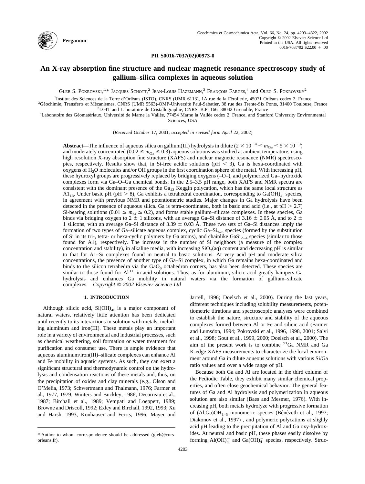

**PII S0016-7037(02)00973-0**

# **An X-ray absorption fine structure and nuclear magnetic resonance spectroscopy study of gallium–silica complexes in aqueous solution**

GLEB S. POKROVSKI,<sup>1,\*</sup> JACQUES SCHOTT,<sup>2</sup> JEAN-LOUIS HAZEMANN,<sup>3</sup> FRANÇOIS FARGES,<sup>4</sup> and Oleg S. POKROVSKY<sup>2</sup>

<sup>1</sup>Institut des Sciences de la Terre d'Orléans (ISTO), CNRS (UMR 6113), 1A rue de la Férollerie, 45071 Orléans cedex 2, France

<sup>2</sup>Géochimie, Transferts et Mécanismes, CNRS (UMR 5563)-OMP-Université Paul-Sabatier, 38 rue des Trente-Six Ponts, 31400 Toulouse, France <sup>3</sup>LGIT and Laboratoire de Cristallographie, CNRS, B.P. 166, 38042 Grenoble, France

<sup>4</sup>Laboratoire des Géomatériaux, Université de Marne la Vallée, 77454 Marne la Vallée cedex 2, France, and Stanford University Environmental Sciences, USA

(*Received October* 17, 2001; *accepted in revised form April* 22, 2002)

**Abstract**—The influence of aqueous silica on gallium(III) hydrolysis in dilute  $(2 \times 10^{-4} \le m_{Ga} \le 5 \times 10^{-3})$ and moderately concentrated ( $0.02 \le m_{Ga} \le 0.3$ ) aqueous solutions was studied at ambient temperature, using high resolution X-ray absorption fine structure (XAFS) and nuclear magnetic resonance (NMR) spectroscopies, respectively. Results show that, in Si-free acidic solutions ( $pH < 3$ ), Ga is hexa-coordinated with oxygens of H2O molecules and/or OH groups in the first coordination sphere of the metal. With increasing pH, these hydroxyl groups are progressively replaced by bridging oxygens (–O–), and polymerized Ga–hydroxide complexes form via Ga–O–Ga chemical bonds. In the 2.5–3.5 pH range, both XAFS and NMR spectra are consistent with the dominant presence of the  $Ga_{13}$  Keggin polycation, which has the same local structure as A1<sub>13</sub>. Under basic pH (pH  $> 8$ ), Ga exhibits a tetrahedral coordination, corresponding to Ga(OH)<sub>4</sub><sup>-</sup> species, in agreement with previous NMR and potentiometric studies. Major changes in Ga hydrolysis have been detected in the presence of aqueous silica. Ga is tetra-coordinated, both in basic and acid (i.e., at  $pH > 2.7$ ) Si-bearing solutions ( $0.01 \le m_{\text{Si}} \le 0.2$ ), and forms stable gallium–silicate complexes. In these species, Ga binds via bridging oxygen to 2  $\pm$  1 silicons, with an average Ga–Si distance of 3.16  $\pm$  0.05 Å, and to 2  $\pm$ 1 silicons, with an average Ga–Si distance of 3.39  $\pm$  0.03 Å. These two sets of Ga–Si distances imply the formation of two types of Ga–silicate aqueous complex, cyclic Ga– $Si_{2-3}$  species (formed by the substitution of Si in its tri-, tetra- or hexa-cyclic polymers by Ga atoms), and chainlike  $GaSi_{2-4}$  species (similar to those found for A1), respectively. The increase in the number of Si neighbors (a measure of the complex concentration and stability), in alkaline media, with increasing  $SiO<sub>2</sub>(aq)$  content and decreasing pH is similar to that for A1–Si complexes found in neutral to basic solutions. At very acid pH and moderate silica concentrations, the presence of another type of Ga–Si complex, in which Ga remains hexa-coordinated and binds to the silicon tetrahedra via the  $GaO<sub>6</sub>$  octahedron corners, has also been detected. These species are  $\frac{1}{2}$  similar to those found for  $Al^{3+}$  in acid solutions. Thus, as for aluminum, silicic acid greatly hampers Ga hydrolysis and enhances Ga mobility in natural waters via the formation of gallium–silicate complexes. *Copyright © 2002 Elsevier Science Ltd*

# **1. INTRODUCTION**

Although silicic acid,  $Si(OH)_4$ , is a major component of natural waters, relatively little attention has been dedicated until recently to its interactions in solution with metals, including aluminum and iron(III). These metals play an important role in a variety of environmental and industrial processes, such as chemical weathering, soil formation or water treatment for purification and consumer use. There is ample evidence that aqueous aluminum/iron(III)–silicate complexes can enhance Al and Fe mobility in aquatic systems. As such, they can exert a significant structural and thermodynamic control on the hydrolysis and condensation reactions of these metals and, thus, on the precipitation of oxides and clay minerals (e.g., [Olson and](#page-19-0) [O'Melia, 1973; Schwertmann and Thalmann, 1976; Farmer et](#page-19-0) [al., 1977, 1979; Winters and Buckley, 1986; Decarreau et al.,](#page-19-0) [1987; Birchall et al., 1989; Vempati and Loeppert, 1989;](#page-19-0) [Browne and Driscoll, 1992; Exley and Birchall, 1992, 1993; Xu](#page-19-0) [and Harsh, 1993; Konhauser and Ferris, 1996; Mayer and](#page-19-0)

[Jarrell, 1996; Doelsch et al., 2000\).](#page-19-0) During the last years, different techniques including solubility measurements, potentiometric titrations and spectroscopic analyses were combined to establish the nature, structure and stability of the aqueous complexes formed between Al or Fe and silicic acid [\(Farmer](#page-19-0) [and Lumsdon, 1994; Pokrovski et al., 1996, 1998, 2001; Salvi](#page-19-0) [et al., 1998; Gout et al., 1999, 2000; Doelsch et al., 2000\)](#page-19-0). The aim of the present work is to combine <sup>71</sup>Ga NMR and Ga K-edge XAFS measurements to characterize the local environment around Ga in dilute aqueous solutions with various Si/Ga ratio values and over a wide range of pH.

Because both Ga and Al are located in the third column of the Pediodic Table, they exhibit many similar chemical properties, and often close geochemical behavior. The general features of Ga and Al hydrolysis and polymerization in aqueous solution are also similar ([Baes and Mesmer, 1976\).](#page-18-0) With increasing pH, both metals hydrolyze with progressive formation of (Al,Ga)OH<sub>1-3</sub> monomeric species (Bénézeth et al., 1997; [Diakonov et al., 1997\)](#page-18-0) , and polymeric polycations at slighly acid pH leading to the precipitation of Al and Ga oxy-hydroxides. At neutral and basic pH, these phases easily dissolve by forming  $\text{Al}(\text{OH})_4^-$  and  $\text{Ga}(\text{OH})_4^-$  species, respectively. Struc-

<sup>\*</sup> Author to whom correspondence should be addressed (gleb@cnrsorleans.fr).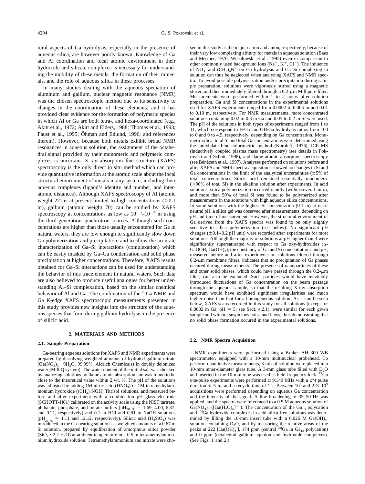tural aspects of Ga hydrolysis, especially in the presence of aqueous silica, are however poorly known. Knowledge of Ga and Al coordination and local atomic environment in their hydroxide and silicate complexes is necessary for understanding the mobility of these metals, the formation of their minerals, and the role of aqueous silica in these processes.

In many studies dealing with the aqueous speciation of aluminum and gallium, nuclear magnetic resonance (NMR) was the chosen spectroscopic method due to its sensitivity to changes in the coordination of these elements, and it has provided clear evidence for the formation of polymeric species in which Al or Ga are both tetra-, and hexa-coordinated (e.g., [Akitt et al., 1972; Akitt and Elders, 1988; Thomas et al., 1993;](#page-18-0) Faust et al., 1995; Öhman and Edlund, 1996; and references therein). However, because both metals exhibit broad NMR resonances in aqueous solution, the assignment of the octahedral signal provided by their monomeric and polymeric complexes is uncertain. X-ray absorption fine structure (XAFS) spectroscopy is the only direct in situ method which can provide quantitative information at the atomic scale about the local structural environment of metals in any system, including their aqueous complexes (ligand's identity and number, and interatomic distances). Although XAFS spectroscopy of Al (atomic weight 27) is at present limited to high concentrations  $(0.1)$ m), gallium (atomic weight 70) can be studied by XAFS spectroscopy at concentrations as low as  $10^{-5}$ – $10^{-4}$  m using the third generation synchrotron sources. Although such concentrations are higher than those usually encountered for Ga in natural waters, they are low enough to significantly slow down Ga polymerization and precipitation, and to allow the accurate characterization of Ga–Si interactions (complexation) which can be easily masked by Ga–Ga condensation and solid phase precipitation at higher concentrations. Therefore, XAFS results obtained for Ga–Si interactions can be used for understanding the behavior of this trace element in natural waters. Such data are also believed to produce useful analogies for better understanding Al–Si complexation, based on the similar chemical behavior of Al and Ga. The combination of the  ${}^{71}Ga$  NMR and Ga *K*-edge XAFS spectroscopic measurements presented in this study provides new insights into the structure of the aqueous species that form during gallium hydrolysis in the presence of silicic acid.

# **2. MATERIALS AND METHODS**

#### **2.1. Sample Preparation**

Ga-bearing aqueous solutions for XAFS and NMR experiments were prepared by dissolving weighted amounts of hydrated gallium nitrate  $(Ga(NO<sub>3</sub>)<sub>3</sub> \cdot 9H<sub>2</sub>O, 99.99\%,$  Aldrich Chemicals) in doubly deionized water (MilliQ system). The water content of the initial salt was checked by analyzing solutions by flame atomic absorption and was found to be close to the theoretical value within 2 wt. %. The pH of the solutions was adjusted by adding 1M nitric acid  $(HNO<sub>3</sub>)$  or 1M tetramethylammonium hydroxide ((CH<sub>3</sub>)<sub>4</sub>NOH) Titrisol solutions, and measured before and after experiment with a combination pH glass electrode (SCHOTT-H61) calibrated on the activity scale using the NIST tartrate, phthalate, phosphate, and borate buffers (pH<sub>20</sub>  $\degree$ c = 1.69, 4.00, 6.87, and 9.21, respectively) and 0.1 m HCl and 0.01 m NaOH solutions  $(pH_{20}$  °C = 1.11 and 12.12, respectively). Silicic acid (H<sub>4</sub>SiO<sub>4</sub>) was introduced in the Ga-bearing solutions as weighted amounts of a 0.67 m Si solution, prepared by equilibration of amorphous silica powder  $(SiO<sub>2</sub> \cdot 2.2 H<sub>2</sub>O)$  at ambient temperature in a 0.5 m tetramethylammonium hydroxide solution. Tetramethylammonium and nitrate were cho-

sen in this study as the major cation and anion, respectively, because of their very low complexing affinity for metals in aqueous solution ([Baes](#page-18-0) [and Mesmer, 1976; Wesolowski et al., 1995\)](#page-18-0) even in comparison to other commonly used background ions  $(Na^+, K^+, Cl^-)$ . The influence of  $NO_3^-$  and  $(CH_3)_4N^+$  on Ga hydrolysis and Ga–Si complexing in solution can thus be neglected when analyzing XAFS and NMR spectra. To avoid possible polymerization and/or precipitation during sample preparation, solutions were vigorously stirred using a magnetic stirrer, and then immediately filtered through a  $0.2$ - $\mu$ m Millipore filter. Measurements were performed within 1 to 2 hours after solution preparation. Ga and Si concentrations in the experimental solutions used for XAFS experiments ranged from 0.0002 to 0.005 m and 0.01 to 0.10 m, respectively. For NMR measurements, more concentrated solutions containing 0.02 to 0.3 m Ga and 0.05 to 0.2 m Si were used. The pH of the solutions in both types of experiments ranged from 1 to 11, which correspond to H/Ga and OH/Ga hydrolysis ratios from 100 to 0 and 0 to 4.5, respectively, depending on Ga concentration. Monomeric silica, total Si and total Ga concentrations were determined using the molybdate blue colorimetric method [\(Koroleff, 1976\)](#page-19-0), ICP–MS (inductively coupled plasma mass spectrometry) (see details in [Pok](#page-19-0)[rovski and Schott, 1998\),](#page-19-0) and flame atomic absorption spectroscopy (see Bénézeth et al., 1997). Analyses performed on solutions before and after XAFS and NMR spectra acquisitions showed no changes in Si and Ga concentrations in the limit of the analytical uncertainties  $(\pm 5\%$  of total concentration). Silicic acid remained essentially monomeric (>90% of total Si) in the alkaline solution after experiments. In acid solutions, silica polymerization occurred rapidly (within several min.), and more than 50% of total Si was found to be polymerized after measurements in the solutions with high aqueous silica concentrations. In some solutions with the highest Si concentration (0.1 m) at nearneutral pH, a silica gel was observed after measurements, depending on pH and time of measurement. However, the structural environment of Ga derived from the XAFS spectra was found to be only slightly sensitive to silica polymerization (see below). No significant pH changes  $(\pm 0.1-0.2 \text{ pH unit})$  were recorded after experiments for most solutions. Although the majority of solutions at pH higher than 3 were significantly supersaturated with respect to Ga oxy-hydroxides ( $\alpha$ -GaOOH,  $Ga(OH)_3$ ), the constancy of Ga and Si concentrations and pH, measured before and after experiments on solutions filtered through  $0.2$ - $\mu$ m membrane filters, indicates that no precipitation of Ga phases occured during measurements. The presence of nanoparticles of these and other solid phases, which could have passed through the  $0.2$ - $\mu$ m filter, can also be excluded. Such particles would have inevitably introduced fluctuations of Ga concentration on the beam passage through the aqueous sample, so that the resulting X-ray absorption spectrum would have exhibited significant irregularities and much higher noise than that for a homogeneous solution. As it can be seen below, XAFS scans recorded in this study for all solutions (except for 0.0002 m Ga,  $pH = 5$ ; see Sect. 4.2.1), were similar for each given sample and without suspicious noise and flaws, thus demonstrating that no solid phase formation occured in the experimental solutions.

## **2.2. NMR Spectra Acquisition**

NMR experiments were performed using a Bruker AH 300 WB spectrometer, equipped with a 10-mm multinuclear probehead. To perform quantitative measurements, 3 mL of solution were placed in a 10-mm inner-diameter glass tube. A 3-mm glass tube filled with  $D_2O$ and inserted in the 10-mm tube was used as field-frequency lock.  ${}^{71}\text{Ga}$ one-pulse experiments were performed at 91.49 MHz with a  $\pi/4$  pulse duration of 5  $\mu$ s and a recycle time of 1 s. Between 10<sup>3</sup> and 2  $\times$  10<sup>5</sup> acquisitions were performed depending on aqueous Ga concentration and the intensity of the signal. A line broadening of 35–50 Hz was applied, and the spectra were referenced to a 0.5 M aqueous solution of  $Ga(NO<sub>3</sub>)<sub>3</sub>$  ([Ga(H<sub>2</sub>O)<sub>6</sub>]<sup>3+</sup>). The concentration of the Ga<sub>13</sub> polycation and <sup>[6]</sup>Ga hydroxide complexes in acid silica-free solutions was determined by filling the 10-mm insert tube with a 0.026 M  $Ga(OH)<sub>4</sub>$ solution containing  $D_2O$ , and by measuring the relative areas of the peaks at 222 [Ga( $\overline{OH}^{-}_{4}$ ], 174 ppm (central <sup>[4]</sup>Ga in Ga<sub>13</sub> polycation) and 0 ppm (octahedral gallium aquoion and hydroxide complexes). (See [Figs. 1 and 2.](#page-3-0))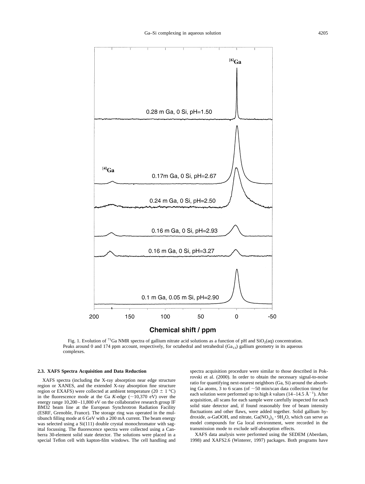<span id="page-3-0"></span>

Fig. 1. Evolution of <sup>71</sup>Ga NMR spectra of gallium nitrate acid solutions as a function of pH and  $SiO_2(aq)$  concentration. Peaks around 0 and 174 ppm account, respectively, for octahedral and tetrahedral ( $Ga_{13}$ ) gallium geometry in its aqueous complexes.

#### **2.3. XAFS Spectra Acquisition and Data Reduction**

XAFS spectra (including the X-ray absorption near edge structure region or XANES, and the extended X-ray absorption fine structure region or EXAFS) were collected at ambient temperature (20  $\pm$  1 °C) in the fluorescence mode at the Ga *K*-edge ( $\sim$ 10,370 eV) over the energy range 10,200–11,800 eV on the collaborative research group IF BM32 beam line at the European Synchrotron Radiation Facility (ESRF, Grenoble, France). The storage ring was operated in the multibunch filling mode at 6 GeV with a 200 mA current. The beam energy was selected using a Si(111) double crystal monochromator with sagittal focussing. The fluorescence spectra were collected using a Canberra 30-element solid state detector. The solutions were placed in a special Teflon cell with kapton-film windows. The cell handling and

spectra acquisition procedure were similar to those described in [Pok](#page-19-0)[rovski et al. \(2000\).](#page-19-0) In order to obtain the necessary signal-to-noise ratio for quantifying next-nearest neighbors (Ga, Si) around the absorbing Ga atoms, 3 to 6 scans (of  $\sim$  50 min/scan data collection time) for each solution were performed up to high *k* values (14–14.5  $\AA^{-1}$ ). After acquisition, all scans for each sample were carefully inspected for each solid state detector and, if found reasonably free of beam intensity fluctuations and other flaws, were added together. Solid gallium hydroxide,  $\alpha$ -GaOOH, and nitrate,  $Ga(NO<sub>3</sub>)<sub>3</sub> \cdot 9H<sub>2</sub>O$ , which can serve as model compounds for Ga local environment, were recorded in the transmission mode to exclude self-absorption effects.

XAFS data analysis were performed using the SEDEM [\(Aberdam,](#page-18-0) [1998\)](#page-18-0) and XAFS2.6 [\(Winterer, 1997\)](#page-20-0) packages. Both programs have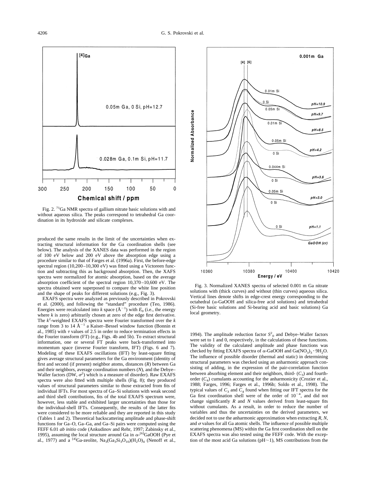produced the same results in the limit of the uncertainties when extracting structural information for the Ga coordination shells (see below). The analysis of the XANES data was performed in the region of 100 eV below and 200 eV above the absorption edge using a procedure similar to that of [Farges et al. \(1996a\)](#page-19-0). First, the before-edge

spectral region (10,200–10,300 eV) was fitted using a Victoreen function and subtracting this as background absorption. Then, the XAFS spectra were normalized for atomic absorption, based on the average absorption coefficient of the spectral region 10,370–10,600 eV. The spectra obtained were superposed to compare the white line position and the shape of peaks for different solutions (e.g., Fig. 3).

EXAFS spectra were analyzed as previously described in [Pokrovski](#page-19-0) [et al. \(2000\),](#page-19-0) and following the "standard" procedure [\(Teo, 1986\)](#page-20-0). Energies were recalculated into *k* space  $(A^{-1})$  with  $E_0$  (i.e., the energy where *k* is zero) arbitrarily chosen at zero of the edge first derivative. The  $k^2$ -weighted EXAFS spectra were Fourier transformed over the  $k$ range from 3 to 14  $\AA^{-1}$  a Kaiser–Bessel window function [\(Bonnin et](#page-18-0) [al., 1985\)](#page-18-0) with  $\tau$  values of 2.5 in order to reduce termination effects in the Fourier transform (FT) (e.g., [Figs. 4b](#page-5-0) and 5b). To extract structural information, one or several FT peaks were back-transformed into momentum space (inverse Fourier transform, IFT) ([Figs. 6](#page-7-0) and [7](#page-7-0)). Modeling of these EXAFS oscillations (IFT) by least-square fitting gives average structural parameters for the Ga environment (identity of first and second (if present) neighbor atoms, distances (*R*) between Ga and their neighbors, average coordination numbers (*N*), and the Debye– Waller factors (DW,  $\sigma^2$ ) which is a measure of disorder). Raw EXAFS spectra were also fitted with multiple shells ([Fig. 8](#page-8-0)); they produced values of structural parameters similar to those extracted from fits of individual IFTs. For most spectra of Ga–Si solutions with weak second and third shell contributions, fits of the total EXAFS spectrum were, however, less stable and exhibited larger uncertainties than those for the individual-shell IFTs. Consequently, the results of the latter fits were considered to be more reliable and they are reported in this study ([Tables 1](#page-9-0) and [2\)](#page-10-0). Theoretical backscattering amplitude and phase-shift functions for Ga–O, Ga–Ga, and Ga–Si pairs were computed using the FEFF 6.01 *ab initio* code [\(Ankudinov and Rehr, 1997; Zabinsky et al.,](#page-18-0) [1995\),](#page-18-0) assuming the local structure around Ga in  $\alpha$ -<sup>[6]</sup>GaOOH [\(Pye et](#page-19-0) [al., 1977\)](#page-19-0) and a <sup>[4]</sup>Ga-zeolite,  $\text{Na}_3\text{Ga}_3\text{Si}_3\text{O}_{10}(\text{H}_2\text{O})_4$  [\(Nenoff et al.,](#page-19-0)

Fig. 3. Normalized XANES spectra of selected 0.001 m Ga nitrate solutions with (thick curves) and without (thin curves) aqueous silica. Vertical lines denote shifts in edge-crest energy corresponding to the octahedral ( $\alpha$ -GaOOH and silica-free acid solutions) and tetrahedral (Si-free basic solutions and Si-bearing acid and basic solutions) Ga local geometry.

[1994\).](#page-19-0) The amplitude reduction factor  $S<sup>2</sup>$ <sub>0</sub> and Debye–Waller factors were set to 1 and 0, respectively, in the calculations of these functions. The validity of the calculated amplitude and phase functions was checked by fitting EXAFS spectra of  $\alpha$ -GaOOH and Ga(NO<sub>3</sub>)<sub>3</sub> · 9H<sub>2</sub>O. The influence of possible disorder (thermal and static) in determining structural parameters was checked using an anharmonic approach consisting of adding, in the expression of the pair-correlation function between absorbing element and their neighbors, third- $(C_3)$  and fourthorder  $(C_4)$  cumulants accounting for the anharmonicity [\(Crozier et al.,](#page-18-0) [1988; Farges, 1996; Farges et al., 1996b; Soldo et al., 1998\).](#page-18-0) The typical values of  $C_3$  and  $C_4$  found when fitting our IFT spectra for the Ga first coordination shell were of the order of  $10^{-4}$ , and did not change significantly *R* and *N* values derived from least-square fits without cumulants. As a result, in order to reduce the number of variables and thus the uncertainties on the derived parameters, we decided not to use the anharmonic approximation when extracting *R*, *N*, and  $\sigma$  values for all Ga atomic shells. The influence of possible multiple scattering phenomena (MS) within the Ga first coordination shell on the EXAFS spectra was also tested using the FEFF code. With the exception of the most acid Ga solutions ( $pH-1$ ), MS contributions from the



150

Chemical shift / ppm

200

0.05m Ga, 0 Si, pH=12.7

0.028m Ga, 0.1m Si, pH=11.7

100

50

0



300

250

<span id="page-4-0"></span> $[4]$ Ga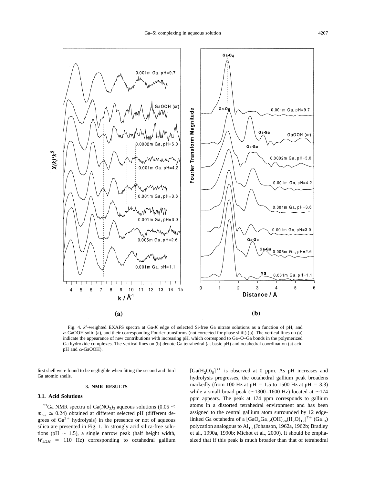<span id="page-5-0"></span>

Fig. 4.  $k^2$ -weighted EXAFS spectra at Ga-K edge of selected Si-free Ga nitrate solutions as a function of pH, and  $\alpha$ -GaOOH solid (a), and their corresponding Fourier transforms (not corrected for phase shift) (b). The vertical lines on (a) indicate the appearance of new contributions with increasing pH, which correspond to Ga–O–Ga bonds in the polymerized Ga hydroxide complexes. The vertical lines on (b) denote Ga tetrahedral (at basic pH) and octahedral coordination (at acid pH and  $\alpha$ -GaOOH).

first shell were found to be negligible when fitting the second and third Ga atomic shells.

#### **3. NMR RESULTS**

# **3.1. Acid Solutions**

<sup>71</sup>Ga NMR spectra of Ga(NO<sub>3</sub>)<sub>3</sub> aqueous solutions (0.05  $\leq$  $m_{\text{Ga}} \leq 0.24$ ) obtained at different selected pH (different degrees of  $Ga^{3+}$  hydrolysis) in the presence or not of aqueous silica are presented in [Fig. 1](#page-3-0). In strongly acid silica-free solutions (pH  $\sim$  1.5), a single narrow peak (half height width,  $W_{1/2H}$  = 110 Hz) corresponding to octahedral gallium

 $[Ga(H<sub>2</sub>O)<sub>6</sub>]$ <sup>3+</sup> is observed at 0 ppm. As pH increases and hydrolysis progresses, the octahedral gallium peak broadens markedly (from 100 Hz at pH =  $1.5$  to 1500 Hz at pH = 3.3) while a small broad peak ( $\sim$ 1300–1600 Hz) located at  $\sim$ 174 ppm appears. The peak at 174 ppm corresponds to gallium atoms in a distorted tetrahedral environment and has been assigned to the central gallium atom surrounded by 12 edgelinked Ga octahedra of a  $[GaO_4Ga_{12}(OH)_{24}(H_2O)_{12}]^7$ <sup>+</sup>  $(Ga_{13})$ polycation analogous to  $\text{Al}_{13}$  [\(Johanson, 1962a, 1962b; Bradley](#page-19-0) [et al., 1990a, 1990b; Michot et al., 2000\)](#page-19-0). It should be emphasized that if this peak is much broader than that of tetrahedral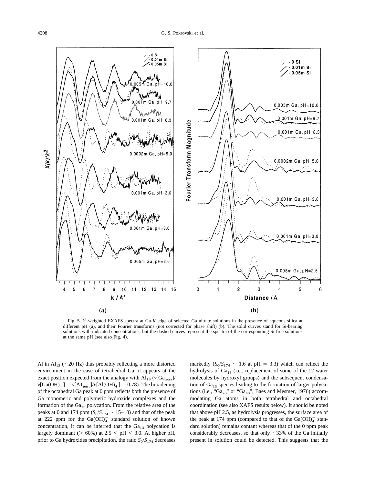<span id="page-6-0"></span>

Fig. 5.  $k^2$ -weighted EXAFS spectra at Ga-*K* edge of selected Ga nitrate solutions in the presence of aqueous silica at different pH (a), and their Fourier transforms (not corrected for phase shift) (b). The solid curves stand for Si-bearing solutions with indicated concentrations, but the dashed curves represent the spectra of the corresponding Si-free solutions at the same pH (see also Fig. 4).

Al in Al<sub>13</sub> ( $\sim$ 20 Hz) thus probably reflecting a more distorted environment in the case of tetrahedral Ga, it appears at the exact position expected from the analogy with  $Al_{13}$  ( $v[Ga_{\text{tetra}}]$ )  $v[\text{Ga(OH)}_{4}^{-}] = v[\text{Al}_{\text{tetra}}]/v[\text{Al(OH)}_{4}^{-}] = 0.78$ ). The broadening of the octahedral Ga peak at 0 ppm reflects both the presence of Ga monomeric and polymeric hydroxide complexes and the formation of the  $Ga_{13}$  polycation. From the relative area of the peaks at 0 and 174 ppm  $(S_0/S_{174} \sim 15{\text -}10)$  and that of the peak at 222 ppm for the  $Ga(OH)_{4}^{-}$  standard solution of known concentration, it can be inferred that the  $Ga_{13}$  polycation is largely dominant ( $> 60\%$ ) at 2.5  $<$  pH  $<$  3.0. At higher pH, prior to Ga hydroxides precipitation, the ratio  $S_0/S_{174}$  decreases

markedly  $(S_0/S_{174} \sim 1.6$  at pH = 3.3) which can reflect the hydrolysis of  $Ga_{13}$  (i.e., replacement of some of the 12 water molecules by hydroxyl groups) and the subsequent condensation of  $Ga_{13}$  species leading to the formation of larger polycations (i.e., " $Ga_{26}$ " or " $Ga_{40}$ ", Baes and Mesmer, 1976) accommodating Ga atoms in both tetrahedral and octahedral coordination (see also XAFS results below). It should be noted that above pH 2.5, as hydrolysis progresses, the surface area of the peak at 174 ppm (compared to that of the  $Ga(OH)_4^-$  standard solution) remains contant whereas that of the 0 ppm peak considerably decreases, so that only  $\sim$ 33% of the Ga initially present in solution could be detected. This suggests that the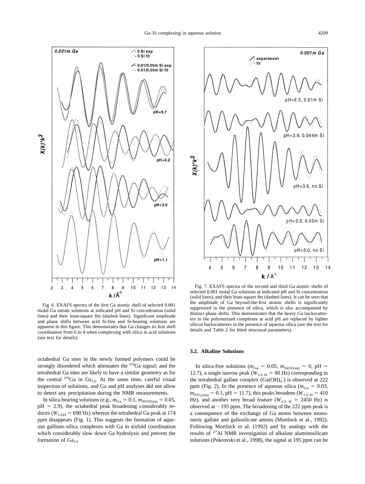<span id="page-7-0"></span>

Fig. 6. EXAFS spectra of the first Ga atomic shell of selected 0.001 molal Ga nitrate solutions at indicated pH and Si concentration (solid lines) and their least-square fits (dashed lines). Significant amplitude and phase shifts between acid Si-free and Si-bearing solutions are apparent in this figure. This demonstrates that Ga changes its first shell coordination from 6 to 4 when complexing with silica in acid solutions (see text for details).

octahedral Ga sites in the newly formed polymers could be strongly disordered which attenuates the [6]Ga signal; and the tetrahedral Ga sites are likely to have a similar geometry as for the central  $[4]Ga$  in  $Ga_{13}$ . At the same time, careful visual inspection of solutions, and Ga and pH analyses did not allow to detect any precipitation during the NMR measurements.

In silica bearing solutions (e.g.,  $m_{Ga} = 0.1$ ,  $m_{SiO2(aq)} = 0.05$ ,  $pH = 2.9$ ), the octahedral peak broadening considerably reduces ( $W_{1/2H}$  = 690 Hz) whereas the tetrahedral Ga peak at 174 ppm disappears [\(Fig. 1\)](#page-3-0). This suggests the formation of aqueous gallium–silica complexes with Ga in sixfold coordination which considerably slow down Ga hydrolysis and prevent the formation of  $Ga_{13}$ .



Fig. 7. EXAFS spectra of the second and third Ga atomic shells of selected 0.001 molal Ga solutions at indicated pH and Si concentration (solid lines), and their least-square fits (dashed lines). It can be seen that the amplitude of Ga beyond-the-first atomic shells is significantly suppressed in the presence of silica, which is also accompanied by distinct phase shifts. This demonstrates that the heavy Ga backscatterers in the polymerized complexes at acid pH are replaced by lighter silicon backscatterers in the presence of aqueous silica (see the text for details and Table 2 for fitted structural parameters).

# **3.2. Alkaline Solutions**

In silica-free solutions ( $m_{Ga} = 0.05$ ,  $m_{SiO2(aq)} = 0$ , pH 12.7), a single narrow peak ( $W_{1/2 \text{ H}} = 90 \text{ Hz}$ ) corresponding to the tetrahedral gallate complex  $(Ga(OH)_{4}^{-})$  is observed at 222 ppm [\(Fig. 2](#page-4-0)). In the presence of aqueous silica ( $m_{Ga} = 0.03$ ,  $m_{\text{SiO}_2(\text{aq})} = 0.1$ , pH = 11.7), this peaks broadens ( $W_{1/2 H} = 410$ Hz), and another very broad feature ( $W_{1/2}$   $_H$  = 2450 Hz) is observed at  $\sim$  195 ppm. The broadening of the 222 ppm peak is a consequence of the exchange of Ga atoms between monomeric gallate and gallosilicate anions [\(Mortlock et al., 1992\).](#page-19-0) Following [Mortlock et al. \(1992\)](#page-19-0) and by analogy with the results of <sup>27</sup>Al NMR investigation of alkaline aluminosilicate solutions [\(Pokrovski et al., 1998\)](#page-19-0), the signal at 195 ppm can be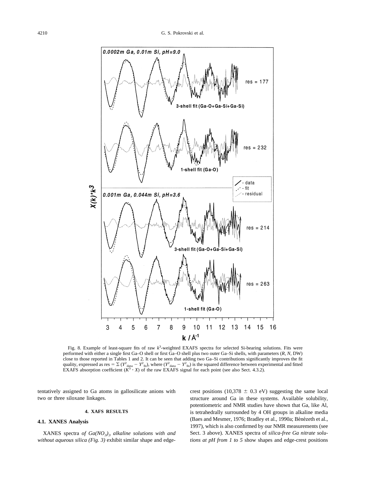<span id="page-8-0"></span>

Fig. 8. Example of least-square fits of raw  $k^3$ -weighted EXAFS spectra for selected Si-bearing solutions. Fits were performed with either a single first Ga–O shell or first Ga–O shell plus two outer Ga–Si shells, with parameters (*R, N,* DW) close to those reported in Tables 1 and 2. It can be seen that adding two Ga–Si contributions significantly improves the fit<br>quality, expressed as res =  $\sum (Y^2_{\text{data}} - Y^2_{\text{fit}})$ , where  $(Y^2_{\text{data}} - Y^2_{\text{fit}})$  is the squar

tentatively assigned to Ga atoms in gallosilicate anions with two or three siloxane linkages.

# **4. XAFS RESULTS**

# **4.1. XANES Analysis**

XANES spectra *of Ga(NO<sup>3</sup> )<sup>3</sup> alkaline solutions with and without aqueous silica [\(Fig. 3](#page-4-0))* exhibit similar shape and edgecrest positions (10,378  $\pm$  0.3 eV) suggesting the same local structure around Ga in these systems. Available solubility, potentiometric and NMR studies have shown that Ga, like Al, is tetrahedrally surrounded by 4 OH groups in alkaline media (Baes and Mesmer, 1976; Bradley et al., 1990a; Bénézeth et al., [1997](#page-18-0)), which is also confirmed by our NMR measurements (see Sect. 3 above). XANES spectra of *silica-free Ga nitrate solutions at pH from 1 to 5* show shapes and edge-crest positions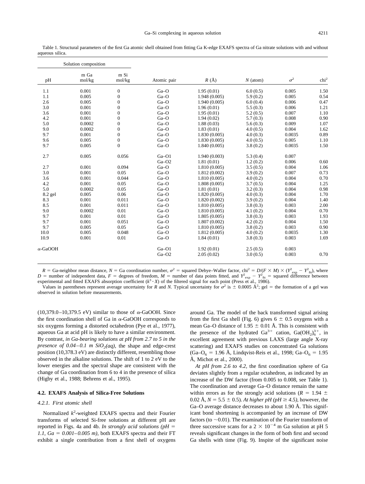<span id="page-9-0"></span>Table 1. Structural parameters of the first Ga atomic shell obtained from fitting Ga K-edge EXAFS spectra of Ga nitrate solutions with and without aqueous silica.

| m Si<br>m Ga<br>$\sigma^2$<br>$R(\AA)$<br>mol/kg<br>mol/kg<br>pH<br>Atomic pair<br>$N$ (atom)<br>1.1<br>0.001<br>$\mathbf{0}$<br>1.95(0.01)<br>6.0(0.5)<br>0.005<br>$Ga-O$<br>1.1<br>0.005<br>$\mathbf{0}$<br>5.9(0.2)<br>0.005<br>$Ga-O$<br>1.948(0.005)<br>2.6<br>0.005<br>$\theta$<br>$Ga-O$<br>0.006<br>1.940(0.005)<br>6.0(0.4)<br>3.0<br>0.001<br>$\mathbf{0}$<br>$Ga-O$<br>1.96(0.01)<br>5.5(0.3)<br>0.006<br>3.6<br>0.001<br>$\overline{0}$<br>0.007<br>$Ga-O$<br>1.95(0.01)<br>5.2(0.5)<br>4.2<br>$\Omega$<br>0.001<br>$Ga-O$<br>0.008<br>1.94(0.02)<br>5.7(0.3)<br>5.0<br>$\mathbf{0}$<br>0.009<br>0.0002<br>$Ga-O$<br>1.88(0.03)<br>5.6(0.3)<br>9.0<br>0.0002<br>$\mathbf{0}$<br>0.004<br>$Ga-O$<br>4.0(0.5)<br>1.83(0.01)<br>$\mathbf{0}$<br>9.7<br>0.001<br>$Ga-O$<br>0.0035<br>1.830(0.005)<br>4.0(0.3)<br>$\mathbf{0}$<br>0.005<br>9.6<br>0.005<br>$Ga-O$<br>1.830(0.005)<br>4.0(0.5)<br>$\Omega$<br>9.7<br>0.005<br>0.0035<br>$Ga-O$<br>1.840(0.005)<br>3.8(0.2)<br>0.005<br>0.056<br>2.7<br>$Ga$ -O1<br>1.940(0.003)<br>5.3(0.4)<br>0.007<br>0.006<br>$Ga$ -O2<br>1.81(0.01)<br>1.2(0.2)<br>2.7<br>0.001<br>0.094<br>$Ga-O$<br>0.004<br>1.810(0.005)<br>3.5(0.5)<br>3.0<br>0.007<br>0.001<br>0.05<br>$Ga-O$<br>1.812(0.002)<br>3.9(0.2)<br>3.6<br>0.001<br>0.044<br>0.004<br>$Ga-O$<br>1.810(0.005)<br>4.0(0.2)<br>4.2<br>0.001<br>0.05<br>0.004<br>$Ga-O$<br>1.808(0.005)<br>3.7(0.5)<br>5.0<br>0.0002<br>0.05<br>0.004<br>$Ga-O$<br>1.81(0.01)<br>3.2(0.3)<br>8.2 gel<br>0.005<br>0.06<br>0.004<br>$Ga-O$<br>1.820(0.005)<br>4.0(0.3)<br>0.011<br>8.3<br>0.001<br>$Ga-O$<br>3.9(0.2)<br>0.004<br>1.820(0.002)<br>8.5<br>0.001<br>0.011<br>0.003<br>$Ga-O$<br>1.810(0.005)<br>3.8(0.3)<br>9.0<br>0.0002<br>0.01<br>0.004<br>$Ga-O$<br>1.810(0.005)<br>4.1(0.2)<br>9.7<br>0.01<br>0.003<br>0.001<br>$Ga-O$<br>3.8(0.3)<br>1.805(0.005)<br>9.7<br>0.001<br>0.051<br>0.004<br>$Ga-O$<br>1.807(0.002)<br>4.2(0.2)<br>9.7<br>0.003<br>0.005<br>0.05<br>$Ga-O$<br>1.810(0.005)<br>3.8(0.2)<br>10.0<br>0.005<br>0.048<br>0.0035<br>$Ga-O$<br>1.812(0.005)<br>4.0(0.2)<br>10.9<br>0.001<br>0.01<br>Ga-O<br>0.003<br>1.84(0.01)<br>3.8(0.3)<br>0.003<br>$Ga-O1$<br>1.92(0.01)<br>2.5(0.5)<br>$\alpha$ -GaOOH<br>$Ga$ -O2<br>0.003<br>2.05(0.02)<br>3.0(0.5) | Solution composition |  |  |  |  |                  |
|----------------------------------------------------------------------------------------------------------------------------------------------------------------------------------------------------------------------------------------------------------------------------------------------------------------------------------------------------------------------------------------------------------------------------------------------------------------------------------------------------------------------------------------------------------------------------------------------------------------------------------------------------------------------------------------------------------------------------------------------------------------------------------------------------------------------------------------------------------------------------------------------------------------------------------------------------------------------------------------------------------------------------------------------------------------------------------------------------------------------------------------------------------------------------------------------------------------------------------------------------------------------------------------------------------------------------------------------------------------------------------------------------------------------------------------------------------------------------------------------------------------------------------------------------------------------------------------------------------------------------------------------------------------------------------------------------------------------------------------------------------------------------------------------------------------------------------------------------------------------------------------------------------------------------------------------------------------------------------------------------------------------------------------------------------------------------------------------------------------------------------------------------------------------------------------------------------------------------------------------------------------------|----------------------|--|--|--|--|------------------|
|                                                                                                                                                                                                                                                                                                                                                                                                                                                                                                                                                                                                                                                                                                                                                                                                                                                                                                                                                                                                                                                                                                                                                                                                                                                                                                                                                                                                                                                                                                                                                                                                                                                                                                                                                                                                                                                                                                                                                                                                                                                                                                                                                                                                                                                                      |                      |  |  |  |  | chi <sup>2</sup> |
|                                                                                                                                                                                                                                                                                                                                                                                                                                                                                                                                                                                                                                                                                                                                                                                                                                                                                                                                                                                                                                                                                                                                                                                                                                                                                                                                                                                                                                                                                                                                                                                                                                                                                                                                                                                                                                                                                                                                                                                                                                                                                                                                                                                                                                                                      |                      |  |  |  |  | 1.50             |
|                                                                                                                                                                                                                                                                                                                                                                                                                                                                                                                                                                                                                                                                                                                                                                                                                                                                                                                                                                                                                                                                                                                                                                                                                                                                                                                                                                                                                                                                                                                                                                                                                                                                                                                                                                                                                                                                                                                                                                                                                                                                                                                                                                                                                                                                      |                      |  |  |  |  | 0.54             |
|                                                                                                                                                                                                                                                                                                                                                                                                                                                                                                                                                                                                                                                                                                                                                                                                                                                                                                                                                                                                                                                                                                                                                                                                                                                                                                                                                                                                                                                                                                                                                                                                                                                                                                                                                                                                                                                                                                                                                                                                                                                                                                                                                                                                                                                                      |                      |  |  |  |  | 0.47             |
|                                                                                                                                                                                                                                                                                                                                                                                                                                                                                                                                                                                                                                                                                                                                                                                                                                                                                                                                                                                                                                                                                                                                                                                                                                                                                                                                                                                                                                                                                                                                                                                                                                                                                                                                                                                                                                                                                                                                                                                                                                                                                                                                                                                                                                                                      |                      |  |  |  |  | 1.21             |
|                                                                                                                                                                                                                                                                                                                                                                                                                                                                                                                                                                                                                                                                                                                                                                                                                                                                                                                                                                                                                                                                                                                                                                                                                                                                                                                                                                                                                                                                                                                                                                                                                                                                                                                                                                                                                                                                                                                                                                                                                                                                                                                                                                                                                                                                      |                      |  |  |  |  | 1.10             |
|                                                                                                                                                                                                                                                                                                                                                                                                                                                                                                                                                                                                                                                                                                                                                                                                                                                                                                                                                                                                                                                                                                                                                                                                                                                                                                                                                                                                                                                                                                                                                                                                                                                                                                                                                                                                                                                                                                                                                                                                                                                                                                                                                                                                                                                                      |                      |  |  |  |  | 0.90             |
|                                                                                                                                                                                                                                                                                                                                                                                                                                                                                                                                                                                                                                                                                                                                                                                                                                                                                                                                                                                                                                                                                                                                                                                                                                                                                                                                                                                                                                                                                                                                                                                                                                                                                                                                                                                                                                                                                                                                                                                                                                                                                                                                                                                                                                                                      |                      |  |  |  |  | 1.07             |
|                                                                                                                                                                                                                                                                                                                                                                                                                                                                                                                                                                                                                                                                                                                                                                                                                                                                                                                                                                                                                                                                                                                                                                                                                                                                                                                                                                                                                                                                                                                                                                                                                                                                                                                                                                                                                                                                                                                                                                                                                                                                                                                                                                                                                                                                      |                      |  |  |  |  | 1.62             |
|                                                                                                                                                                                                                                                                                                                                                                                                                                                                                                                                                                                                                                                                                                                                                                                                                                                                                                                                                                                                                                                                                                                                                                                                                                                                                                                                                                                                                                                                                                                                                                                                                                                                                                                                                                                                                                                                                                                                                                                                                                                                                                                                                                                                                                                                      |                      |  |  |  |  | 0.89             |
|                                                                                                                                                                                                                                                                                                                                                                                                                                                                                                                                                                                                                                                                                                                                                                                                                                                                                                                                                                                                                                                                                                                                                                                                                                                                                                                                                                                                                                                                                                                                                                                                                                                                                                                                                                                                                                                                                                                                                                                                                                                                                                                                                                                                                                                                      |                      |  |  |  |  | 1.10             |
|                                                                                                                                                                                                                                                                                                                                                                                                                                                                                                                                                                                                                                                                                                                                                                                                                                                                                                                                                                                                                                                                                                                                                                                                                                                                                                                                                                                                                                                                                                                                                                                                                                                                                                                                                                                                                                                                                                                                                                                                                                                                                                                                                                                                                                                                      |                      |  |  |  |  | 1.50             |
|                                                                                                                                                                                                                                                                                                                                                                                                                                                                                                                                                                                                                                                                                                                                                                                                                                                                                                                                                                                                                                                                                                                                                                                                                                                                                                                                                                                                                                                                                                                                                                                                                                                                                                                                                                                                                                                                                                                                                                                                                                                                                                                                                                                                                                                                      |                      |  |  |  |  |                  |
|                                                                                                                                                                                                                                                                                                                                                                                                                                                                                                                                                                                                                                                                                                                                                                                                                                                                                                                                                                                                                                                                                                                                                                                                                                                                                                                                                                                                                                                                                                                                                                                                                                                                                                                                                                                                                                                                                                                                                                                                                                                                                                                                                                                                                                                                      |                      |  |  |  |  | 0.60             |
|                                                                                                                                                                                                                                                                                                                                                                                                                                                                                                                                                                                                                                                                                                                                                                                                                                                                                                                                                                                                                                                                                                                                                                                                                                                                                                                                                                                                                                                                                                                                                                                                                                                                                                                                                                                                                                                                                                                                                                                                                                                                                                                                                                                                                                                                      |                      |  |  |  |  | 1.06             |
|                                                                                                                                                                                                                                                                                                                                                                                                                                                                                                                                                                                                                                                                                                                                                                                                                                                                                                                                                                                                                                                                                                                                                                                                                                                                                                                                                                                                                                                                                                                                                                                                                                                                                                                                                                                                                                                                                                                                                                                                                                                                                                                                                                                                                                                                      |                      |  |  |  |  | 0.73             |
|                                                                                                                                                                                                                                                                                                                                                                                                                                                                                                                                                                                                                                                                                                                                                                                                                                                                                                                                                                                                                                                                                                                                                                                                                                                                                                                                                                                                                                                                                                                                                                                                                                                                                                                                                                                                                                                                                                                                                                                                                                                                                                                                                                                                                                                                      |                      |  |  |  |  | 0.70             |
|                                                                                                                                                                                                                                                                                                                                                                                                                                                                                                                                                                                                                                                                                                                                                                                                                                                                                                                                                                                                                                                                                                                                                                                                                                                                                                                                                                                                                                                                                                                                                                                                                                                                                                                                                                                                                                                                                                                                                                                                                                                                                                                                                                                                                                                                      |                      |  |  |  |  | 1.25             |
|                                                                                                                                                                                                                                                                                                                                                                                                                                                                                                                                                                                                                                                                                                                                                                                                                                                                                                                                                                                                                                                                                                                                                                                                                                                                                                                                                                                                                                                                                                                                                                                                                                                                                                                                                                                                                                                                                                                                                                                                                                                                                                                                                                                                                                                                      |                      |  |  |  |  | 0.98             |
|                                                                                                                                                                                                                                                                                                                                                                                                                                                                                                                                                                                                                                                                                                                                                                                                                                                                                                                                                                                                                                                                                                                                                                                                                                                                                                                                                                                                                                                                                                                                                                                                                                                                                                                                                                                                                                                                                                                                                                                                                                                                                                                                                                                                                                                                      |                      |  |  |  |  | 1.70             |
|                                                                                                                                                                                                                                                                                                                                                                                                                                                                                                                                                                                                                                                                                                                                                                                                                                                                                                                                                                                                                                                                                                                                                                                                                                                                                                                                                                                                                                                                                                                                                                                                                                                                                                                                                                                                                                                                                                                                                                                                                                                                                                                                                                                                                                                                      |                      |  |  |  |  | 1.40             |
|                                                                                                                                                                                                                                                                                                                                                                                                                                                                                                                                                                                                                                                                                                                                                                                                                                                                                                                                                                                                                                                                                                                                                                                                                                                                                                                                                                                                                                                                                                                                                                                                                                                                                                                                                                                                                                                                                                                                                                                                                                                                                                                                                                                                                                                                      |                      |  |  |  |  | 2.00             |
|                                                                                                                                                                                                                                                                                                                                                                                                                                                                                                                                                                                                                                                                                                                                                                                                                                                                                                                                                                                                                                                                                                                                                                                                                                                                                                                                                                                                                                                                                                                                                                                                                                                                                                                                                                                                                                                                                                                                                                                                                                                                                                                                                                                                                                                                      |                      |  |  |  |  | 0.70             |
|                                                                                                                                                                                                                                                                                                                                                                                                                                                                                                                                                                                                                                                                                                                                                                                                                                                                                                                                                                                                                                                                                                                                                                                                                                                                                                                                                                                                                                                                                                                                                                                                                                                                                                                                                                                                                                                                                                                                                                                                                                                                                                                                                                                                                                                                      |                      |  |  |  |  | 1.93             |
|                                                                                                                                                                                                                                                                                                                                                                                                                                                                                                                                                                                                                                                                                                                                                                                                                                                                                                                                                                                                                                                                                                                                                                                                                                                                                                                                                                                                                                                                                                                                                                                                                                                                                                                                                                                                                                                                                                                                                                                                                                                                                                                                                                                                                                                                      |                      |  |  |  |  | 1.50             |
|                                                                                                                                                                                                                                                                                                                                                                                                                                                                                                                                                                                                                                                                                                                                                                                                                                                                                                                                                                                                                                                                                                                                                                                                                                                                                                                                                                                                                                                                                                                                                                                                                                                                                                                                                                                                                                                                                                                                                                                                                                                                                                                                                                                                                                                                      |                      |  |  |  |  | 0.90             |
|                                                                                                                                                                                                                                                                                                                                                                                                                                                                                                                                                                                                                                                                                                                                                                                                                                                                                                                                                                                                                                                                                                                                                                                                                                                                                                                                                                                                                                                                                                                                                                                                                                                                                                                                                                                                                                                                                                                                                                                                                                                                                                                                                                                                                                                                      |                      |  |  |  |  | 1.30             |
|                                                                                                                                                                                                                                                                                                                                                                                                                                                                                                                                                                                                                                                                                                                                                                                                                                                                                                                                                                                                                                                                                                                                                                                                                                                                                                                                                                                                                                                                                                                                                                                                                                                                                                                                                                                                                                                                                                                                                                                                                                                                                                                                                                                                                                                                      |                      |  |  |  |  | 1.69             |
|                                                                                                                                                                                                                                                                                                                                                                                                                                                                                                                                                                                                                                                                                                                                                                                                                                                                                                                                                                                                                                                                                                                                                                                                                                                                                                                                                                                                                                                                                                                                                                                                                                                                                                                                                                                                                                                                                                                                                                                                                                                                                                                                                                                                                                                                      |                      |  |  |  |  |                  |
|                                                                                                                                                                                                                                                                                                                                                                                                                                                                                                                                                                                                                                                                                                                                                                                                                                                                                                                                                                                                                                                                                                                                                                                                                                                                                                                                                                                                                                                                                                                                                                                                                                                                                                                                                                                                                                                                                                                                                                                                                                                                                                                                                                                                                                                                      |                      |  |  |  |  | 0.70             |

 $R =$  Ga-neighbor mean distance,  $N =$  Ga coordination number,  $\sigma^2 =$  squared Debye–Waller factor,  $\chi^2 = D\sqrt{(F \times M)} \times (Y_{\text{exp}}^2 - Y_{\text{fit}}^2)$ , where *D* = number of independent data, *F* = degrees of freedom, *M* = number of data points fitted, and  $Y_{\text{exp}}^2 - Y_{\text{fit}}^2$  = squared difference between experimental and fitted EXAFS absorption coefficient  $(k^3 \cdot X)$  of the filtered signal for each point (Press et al., 1986).

Values in parentheses represent average uncertainty for *R* and *N*. Typical uncertainty for  $\sigma^2$  is  $\pm$  0.0005 Å<sup>2</sup>; gel = the formation of a gel was observed in solution before measurements.

 $(10,379.0-10,379.5 \text{ eV})$  similar to those of  $\alpha$ -GaOOH. Since the first coordination shell of Ga in  $\alpha$ -GaOOH corresponds to six oxygens forming a distorted octahedron [\(Pye et al., 1977\),](#page-19-0) aqueous Ga at acid pH is likely to have a similar environment. By contrast, *in Ga-bearing solutions at pH from 2.7 to 5 in the presence of 0.04–0.1 m*  $SiO<sub>2</sub>(aq)$ *, the shape and edge-crest* position (10,378.3 eV) are distinctly different, resembling those observed in the alkaline solutions. The shift of 1 to 2 eV to the lower energies and the spectral shape are consistent with the change of Ga coordination from 6 to 4 in the presence of silica [\(Higby et al., 1988; Behrens et al., 1995\).](#page-19-0)

# **4.2. EXAFS Analysis of Silica-Free Solutions**

# *4.2.1. First atomic shell*

Normalized *k* 2 -weighted EXAFS spectra and their Fourier transforms of selected Si-free solutions at different pH are reported in [Figs. 4a and 4b.](#page-5-0) *In strongly acid solutions (pH 1.1, Ga* =  $0.001 - 0.005$  *m*), both EXAFS spectra and their FT exhibit a single contribution from a first shell of oxygens around Ga. The model of the back transformed signal arising from the first Ga shell (Fig. 6) gives  $6 \pm 0.5$  oxygens with a mean Ga–O distance of 1.95  $\pm$  0.01 Å. This is consistent with the presence of the hydrated  $Ga^{3+}$  cation,  $Ga(OH_2)_6^{3+}$ , in excellent agreement with previous LAXS (large angle X-ray scattering) and EXAFS studies on concentrated Ga solutions  $(Ga-O<sub>6</sub> = 1.96 \text{ Å}, \text{ Lindqvist-Reis et al., 1998}; \text{Ga}-O<sub>6</sub> = 1.95$ Å, [Michot et al., 2000\)](#page-19-0).

*At pH from 2.6 to 4.2,* the first coordination sphere of Ga deviates slightly from a regular octahedron, as indicated by an increase of the DW factor (from 0.005 to 0.008, see Table 1). The coordination and average Ga–O distance remain the same within errors as for the strongly acid solutions ( $R = 1.94 \pm 1.94$ ) 0.02 Å,  $N = 5.5 \pm 0.5$ . *At higher pH (pH*  $\geq 4.5$ *)*, however, the Ga–O average distance decreases to about 1.90 Å. This significant bond shortening is accompanied by an increase of DW factors (to  $\sim$  0.01). The examination of the Fourier transform of three successive scans for a  $2 \times 10^{-4}$  m Ga solution at pH 5 reveals significant changes in the form of both first and second Ga shells with time ([Fig. 9](#page-11-0)). Inspite of the significant noise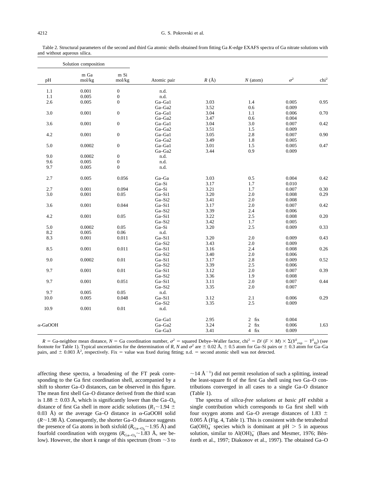<span id="page-10-0"></span>Table 2. Structural parameters of the second and third Ga atomic shells obtained from fitting Ga *K*-edge EXAFS spectra of Ga nitrate solutions with and without aqueous silica.

| $\ensuremath{\mathrm{m}}$ Si<br>m Ga<br>$\sigma^2$<br>$R$ $(\mbox{\AA})$<br>pH<br>$N$ (atom)<br>mol/kg<br>mol/kg<br>Atomic pair<br>$\boldsymbol{0}$<br>1.1<br>0.001<br>n.d.<br>$\boldsymbol{0}$<br>1.1<br>0.005<br>n.d.<br>2.6<br>$\mathbf{0}$<br>3.03<br>1.4<br>0.005<br>0.005<br>Ga-Ga1<br>Ga-Ga2<br>3.52<br>$0.6\,$<br>0.009<br>$3.0\,$<br>0.001<br>$\boldsymbol{0}$<br>3.04<br>Ga-Ga1<br>1.1<br>0.006<br>0.004<br>Ga-Ga2<br>3.47<br>0.6<br>3.6<br>0.001<br>$\boldsymbol{0}$<br>Ga-Ga1<br>3.04<br>3.0<br>0.007<br>0.009<br>Ga-Ga2<br>3.51<br>1.5<br>4.2<br>0.001<br>$\boldsymbol{0}$<br>Ga-Ga1<br>3.05<br>2.8<br>0.007<br>Ga-Ga2<br>3.49<br>1.8<br>0.005<br>$\boldsymbol{0}$<br>Ga-Ga1<br>3.01<br>1.5<br>0.005<br>5.0<br>0.0002<br>3.44<br>0.9<br>Ga-Ga2<br>0.009<br>9.0<br>0.0002<br>$\boldsymbol{0}$<br>n.d.<br>0.005<br>$\boldsymbol{0}$<br>9.6<br>n.d.<br>9.7<br>0.005<br>$\boldsymbol{0}$<br>n.d. | chi <sup>2</sup><br>0.95<br>0.70<br>0.42<br>0.90<br>0.47 |
|-----------------------------------------------------------------------------------------------------------------------------------------------------------------------------------------------------------------------------------------------------------------------------------------------------------------------------------------------------------------------------------------------------------------------------------------------------------------------------------------------------------------------------------------------------------------------------------------------------------------------------------------------------------------------------------------------------------------------------------------------------------------------------------------------------------------------------------------------------------------------------------------------------------|----------------------------------------------------------|
|                                                                                                                                                                                                                                                                                                                                                                                                                                                                                                                                                                                                                                                                                                                                                                                                                                                                                                           |                                                          |
|                                                                                                                                                                                                                                                                                                                                                                                                                                                                                                                                                                                                                                                                                                                                                                                                                                                                                                           |                                                          |
|                                                                                                                                                                                                                                                                                                                                                                                                                                                                                                                                                                                                                                                                                                                                                                                                                                                                                                           |                                                          |
|                                                                                                                                                                                                                                                                                                                                                                                                                                                                                                                                                                                                                                                                                                                                                                                                                                                                                                           |                                                          |
|                                                                                                                                                                                                                                                                                                                                                                                                                                                                                                                                                                                                                                                                                                                                                                                                                                                                                                           |                                                          |
|                                                                                                                                                                                                                                                                                                                                                                                                                                                                                                                                                                                                                                                                                                                                                                                                                                                                                                           |                                                          |
|                                                                                                                                                                                                                                                                                                                                                                                                                                                                                                                                                                                                                                                                                                                                                                                                                                                                                                           |                                                          |
|                                                                                                                                                                                                                                                                                                                                                                                                                                                                                                                                                                                                                                                                                                                                                                                                                                                                                                           |                                                          |
|                                                                                                                                                                                                                                                                                                                                                                                                                                                                                                                                                                                                                                                                                                                                                                                                                                                                                                           |                                                          |
|                                                                                                                                                                                                                                                                                                                                                                                                                                                                                                                                                                                                                                                                                                                                                                                                                                                                                                           |                                                          |
|                                                                                                                                                                                                                                                                                                                                                                                                                                                                                                                                                                                                                                                                                                                                                                                                                                                                                                           |                                                          |
|                                                                                                                                                                                                                                                                                                                                                                                                                                                                                                                                                                                                                                                                                                                                                                                                                                                                                                           |                                                          |
|                                                                                                                                                                                                                                                                                                                                                                                                                                                                                                                                                                                                                                                                                                                                                                                                                                                                                                           |                                                          |
|                                                                                                                                                                                                                                                                                                                                                                                                                                                                                                                                                                                                                                                                                                                                                                                                                                                                                                           |                                                          |
|                                                                                                                                                                                                                                                                                                                                                                                                                                                                                                                                                                                                                                                                                                                                                                                                                                                                                                           |                                                          |
|                                                                                                                                                                                                                                                                                                                                                                                                                                                                                                                                                                                                                                                                                                                                                                                                                                                                                                           |                                                          |
| 2.7<br>0.005<br>0.056<br>Ga-Ga<br>0.5<br>0.004<br>3.03                                                                                                                                                                                                                                                                                                                                                                                                                                                                                                                                                                                                                                                                                                                                                                                                                                                    | 0.42                                                     |
| $Ga-Si$<br>3.17<br>0.010<br>1.7                                                                                                                                                                                                                                                                                                                                                                                                                                                                                                                                                                                                                                                                                                                                                                                                                                                                           |                                                          |
| 0.001<br>0.094<br>0.007<br>2.7<br>Ga-Si<br>3.21<br>1.7                                                                                                                                                                                                                                                                                                                                                                                                                                                                                                                                                                                                                                                                                                                                                                                                                                                    | 0.30                                                     |
| $3.0\,$<br>0.001<br>Ga-Si1<br>3.20<br>2.0<br>0.008<br>0.05                                                                                                                                                                                                                                                                                                                                                                                                                                                                                                                                                                                                                                                                                                                                                                                                                                                | 0.29                                                     |
| Ga-Si2<br>2.0<br>0.008<br>3.41                                                                                                                                                                                                                                                                                                                                                                                                                                                                                                                                                                                                                                                                                                                                                                                                                                                                            |                                                          |
| 3.6<br>0.001<br>0.044<br>Ga-Si1<br>3.17<br>2.0<br>0.007                                                                                                                                                                                                                                                                                                                                                                                                                                                                                                                                                                                                                                                                                                                                                                                                                                                   | 0.42                                                     |
| Ga-Si2<br>3.39<br>2.4<br>0.006                                                                                                                                                                                                                                                                                                                                                                                                                                                                                                                                                                                                                                                                                                                                                                                                                                                                            |                                                          |
| 4.2<br>0.001<br>0.05<br>Ga-Si1<br>3.22<br>2.5<br>0.008                                                                                                                                                                                                                                                                                                                                                                                                                                                                                                                                                                                                                                                                                                                                                                                                                                                    | 0.20                                                     |
| Ga-Si2<br>0.005<br>3.42<br>1.7                                                                                                                                                                                                                                                                                                                                                                                                                                                                                                                                                                                                                                                                                                                                                                                                                                                                            |                                                          |
| 5.0<br>0.0002<br>0.05<br>$Ga-Si$<br>3.20<br>$2.5\,$<br>0.009                                                                                                                                                                                                                                                                                                                                                                                                                                                                                                                                                                                                                                                                                                                                                                                                                                              | 0.33                                                     |
| 0.06<br>8.2<br>0.005<br>n.d.                                                                                                                                                                                                                                                                                                                                                                                                                                                                                                                                                                                                                                                                                                                                                                                                                                                                              |                                                          |
| 8.3<br>0.011<br>Ga-Si1<br>2.0<br>0.009<br>0.001<br>3.20                                                                                                                                                                                                                                                                                                                                                                                                                                                                                                                                                                                                                                                                                                                                                                                                                                                   | 0.43                                                     |
| Ga-Si2<br>3.43<br>$2.0\,$<br>0.009                                                                                                                                                                                                                                                                                                                                                                                                                                                                                                                                                                                                                                                                                                                                                                                                                                                                        |                                                          |
| 3.16<br>2.4<br>8.5<br>0.001<br>0.011<br>Ga-Si1<br>0.008                                                                                                                                                                                                                                                                                                                                                                                                                                                                                                                                                                                                                                                                                                                                                                                                                                                   | 0.26                                                     |
| Ga-Si2<br>2.0<br>0.006<br>3.40                                                                                                                                                                                                                                                                                                                                                                                                                                                                                                                                                                                                                                                                                                                                                                                                                                                                            |                                                          |
| 9.0<br>0.0002<br>$0.01\,$<br>Ga-Si1<br>3.17<br>$2.8\,$<br>0.009                                                                                                                                                                                                                                                                                                                                                                                                                                                                                                                                                                                                                                                                                                                                                                                                                                           | 0.52                                                     |
| Ga-Si2<br>3.39<br>2.5<br>0.006                                                                                                                                                                                                                                                                                                                                                                                                                                                                                                                                                                                                                                                                                                                                                                                                                                                                            |                                                          |
| 9.7<br>0.001<br>$0.01\,$<br>Ga-Si1<br>3.12<br>2.0<br>0.007                                                                                                                                                                                                                                                                                                                                                                                                                                                                                                                                                                                                                                                                                                                                                                                                                                                | 0.39                                                     |
| Ga-Si2<br>3.36<br>1.9<br>0.008                                                                                                                                                                                                                                                                                                                                                                                                                                                                                                                                                                                                                                                                                                                                                                                                                                                                            |                                                          |
| 0.001<br>0.051<br>Ga-Si1<br>$2.0\,$<br>0.007<br>9.7<br>3.11                                                                                                                                                                                                                                                                                                                                                                                                                                                                                                                                                                                                                                                                                                                                                                                                                                               | 0.44                                                     |
| Ga-Si2<br>3.35<br>2.0<br>0.007                                                                                                                                                                                                                                                                                                                                                                                                                                                                                                                                                                                                                                                                                                                                                                                                                                                                            |                                                          |
| 0.005<br>0.05<br>9.7<br>$\rm n.d.$                                                                                                                                                                                                                                                                                                                                                                                                                                                                                                                                                                                                                                                                                                                                                                                                                                                                        |                                                          |
| 0.005<br>Ga-Si1<br>$2.1\,$<br>0.006<br>10.0<br>0.048<br>3.12                                                                                                                                                                                                                                                                                                                                                                                                                                                                                                                                                                                                                                                                                                                                                                                                                                              | 0.29                                                     |
| Ga-Si2<br>3.35<br>2.5<br>0.009                                                                                                                                                                                                                                                                                                                                                                                                                                                                                                                                                                                                                                                                                                                                                                                                                                                                            |                                                          |
| 10.9<br>0.001<br>0.01<br>n.d.                                                                                                                                                                                                                                                                                                                                                                                                                                                                                                                                                                                                                                                                                                                                                                                                                                                                             |                                                          |
| Ga-Ga1<br>$2$ $\:$ $\rm{fix}$<br>0.004<br>2.95                                                                                                                                                                                                                                                                                                                                                                                                                                                                                                                                                                                                                                                                                                                                                                                                                                                            |                                                          |
| 3.24<br>$2$ fix<br>0.006<br>$\alpha$ -GaOOH<br>Ga-Ga2                                                                                                                                                                                                                                                                                                                                                                                                                                                                                                                                                                                                                                                                                                                                                                                                                                                     | 1.63                                                     |
| $4$ fix<br>Ga-Ga3<br>3.41<br>0.009                                                                                                                                                                                                                                                                                                                                                                                                                                                                                                                                                                                                                                                                                                                                                                                                                                                                        |                                                          |

 $R =$  Ga-neighbor mean distance,  $N =$  Ga coordination number,  $\sigma^2 =$  squared Debye–Waller factor, chi<sup>2</sup> = *D*/ ( $F \times M$ )  $\times \Sigma (Y_{\text{exp}}^2 - Y_{\text{fit}}^2)$  (see footnote for Table 1). Typical uncertainties for the determination of *R*, *N* and  $\sigma^2$  are  $\pm$  0.02 Å,  $\pm$  0.5 atom for Ga–Si pairs or  $\pm$  0.3 atom for Ga–Ga pairs, and  $\pm$  0.003 Å<sup>2</sup>, respectively. Fix = value was fixed during fitting; n.d. = second atomic shell was not detected.

affecting these spectra, a broadening of the FT peak corresponding to the Ga first coordination shell, accompanied by a shift to shorter Ga–O distances, can be observed in this figure. The mean first shell Ga–O distance derived from the third scan is 1.88  $\pm$  0.03 Å, which is significantly lower than the Ga–O<sub>6</sub> distance of first Ga shell in more acidic solutions ( $R_1 \sim 1.94 \pm 1.94$ ) 0.03 Å) or the average Ga–O distance in  $\alpha$ -GaOOH solid  $(R \sim 1.98$  Å). Consequently, the shorter Ga–O distance suggests the presence of Ga atoms in both sixfold  $(R_{Ga-O_6} \sim 1.95 \text{ Å})$  and fourfold coordination with oxygens  $(R_{Ga-O_4} \sim 1.83$  Å, see below). However, the short *k* range of this spectrum (from  $\sim$  3 to

 $\sim$  14 Å<sup>-1</sup>) did not permit resolution of such a splitting, instead the least-square fit of the first Ga shell using two Ga–O contributions converged in all cases to a single Ga–O distance [\(Table 1](#page-9-0)).

The spectra of *silica-free solutions at basic pH* exhibit a single contribution which corresponds to Ga first shell with four oxygen atoms and Ga–O average distances of 1.83  $\pm$ 0.005 Å [\(Fig. 4](#page-5-0), [Table 1\)](#page-9-0). This is consistent with the tetrahedral  $Ga(OH)<sub>4</sub>$  species which is dominant at pH > 5 in aqueous solution, similar to  $\text{Al}(\text{OH})_{4}^{-}$  (Baes and Mesmer, 1976; Bénézeth et al., 1997; Diakonov et al., 1997). The obtained Ga-O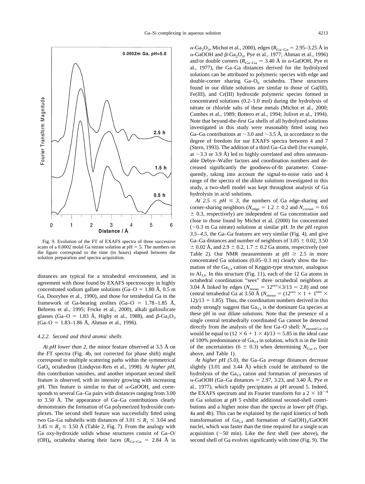<span id="page-11-0"></span>

Fig. 9. Evolution of the FT of EXAFS spectra of three successive scans of a 0.0002 molal Ga nitrate solution at  $pH = 5$ . The numbers on the figure correspond to the time (in hours) elapsed between the solution preparation and spectra acquisition.

distances are typical for a tetrahedral environment, and in agreement with those found by EXAFS spectroscopy in highly concentrated sodium gallate solutions (Ga–O = 1.80 Å, 0.5 m Ga, [Dooryhee et al., 1990\),](#page-18-0) and those for tetrahedral Ga in the framework of Ga-bearing zeolites (Ga–O =  $1.78-1.85$  Å, [Behrens et al., 1995; Fricke et al., 2000\)](#page-18-0), alkali gallosilicate glasses (Ga–O = 1.83 Å, [Higby et al., 1988\)](#page-19-0), and  $\beta$ -Ga<sub>2</sub>O<sub>3</sub>  $(Ga-O = 1.83-1.86 \text{ Å}, \text{Ahman et al., 1996}).$ 

### *4.2.2. Second and third atomic shells*

*At pH lower than 2,* the minor feature observed at 3.5 Å on the FT spectra [\(Fig. 4b](#page-5-0), not corrected for phase shift) might correspond to multiple scattering paths within the symmetrical GaO<sub>6</sub> octahedron [\(Lindqvist-Reis et al., 1998\).](#page-19-0) At higher pH, this contribution vanishes, and another important second shell feature is observed, with its intensity growing with increasing pH. This feature is similar to that of  $\alpha$ -GaOOH, and corresponds to several Ga–Ga pairs with distances ranging from 3.00 to 3.50 Å. The appearance of Ga–Ga contributions clearly demonstrates the formation of Ga polymerized hydroxide complexes. The second shell feature was successfully fitted using two Ga–Ga subshells with distances of  $3.01 \le R_1 \le 3.04$  and  $3.45 \le R_2 \le 3.50$  Å [\(Table 2,](#page-10-0) [Fig. 7\)](#page-7-0). From the analogy with Ga oxy-hydroxide solids whose structures consist of Ga–O/  $(OH)$ <sub>6</sub> octahedra sharing their faces ( $R_{Ga-Ga}$  = 2.84 Å in

 $\alpha$ -Ga<sub>2</sub>O<sub>3</sub>, [Michot et al., 2000\),](#page-19-0) edges ( $R_{\text{Ga-Ga}} = 2.95\text{--}3.25 \text{ Å}$  in  $\alpha$ -GaOOH and  $\beta$ -Ga<sub>2</sub>O<sub>3</sub>, [Pye et al., 1977; Ahman et al., 1996\)](#page-19-0) and/or double corners ( $R_{Ga-Ga}$  = 3.40 Å in  $\alpha$ -GaOOH, [Pye et](#page-19-0) [al., 1977\),](#page-19-0) the Ga–Ga distances derived for the hydrolyzed solutions can be attributed to polymeric species with edge and double-corner sharing  $Ga-O<sub>6</sub>$  octahedra. These structures found in our dilute solutions are similar to those of Ga(III), Fe(III), and Cr(III) hydroxide polymeric species formed in concentrated solutions (0.2–1.0 mol) during the hydrolysis of nitrate or chloride salts of these metals [\(Michot et al., 2000;](#page-19-0) [Combes et al., 1989; Bottero et al., 1994; Jolivet et al., 1994\).](#page-19-0) Note that beyond-the-first Ga shells of all hydrolyzed solutions investigated in this study were reasonably fitted using two Ga–Ga contributions at  $\sim$ 3.0 and  $\sim$ 3.5 Å, in accordance to the degree of freedom for our EXAFS spectra between 4 and 7 [\(Stern, 1993\)](#page-20-0). The addition of a third Ga–Ga shell (for example, at  $\sim$ 3.3 or 3.9 Å) led to highly correlated and often unreasonable Debye–Waller factors and coordination numbers and decreased significantly the goodness-of-fit parameter. Consequently, taking into account the signal-to-noise ratio and *k* range of the spectra of the dilute solutions investigated in this study, a two-shell model was kept throughout analysis of Ga hydrolysis in acid solutions.

*At*  $2.5 \leq pH \leq 3$ , the numbers of Ga edge-sharing and corner-sharing neighbors ( $N_{\text{edge}} = 1.2 \pm 0.2$  and  $N_{\text{corner}} = 0.6$  $\pm$  0.3, respectively) are independent of Ga concentration and close to those found by [Michot et al. \(2000\)](#page-19-0) for concentrated  $(\sim 0.3 \text{ m}$  Ga nitrate) solutions at similar pH. *In the pH region 3.5–4.5*, the Ga–Ga features are very similar [\(Fig. 4](#page-5-0)), and give Ga–Ga distances and number of neighbors of  $3.05 \pm 0.02$ ,  $3.50$  $\pm$  0.02 Å, and 2.9  $\pm$  0.2, 1.7  $\pm$  0.2 Ga atoms, respectively (see [Table 2](#page-10-0)). Our NMR measurements at  $pH \ge 2.5$  in more concentrated Ga solutions (0.05–0.3 m) clearly show the formation of the  $Ga_{13}$  cation of Keggin-type structure, analogous to  $Al_{13}$ . In this structure [\(Fig. 11](#page-14-0)), each of the 12 Ga atoms in octahedral coordination "sees" three octahedral neighbors at 3.04 Å linked by edges ( $N_{\text{mean}} = 12^{\text{oct}} \times 3/13 = 2.8$ ) and one central tetrahedral Ga at 3.50 Å ( $N_{\text{mean}} = (12^{\cot} \times 1 + 1^{\text{ter}} \times$  $12/13 = 1.85$ . Thus, the coordination numbers derived in this study strongly suggest that  $Ga_{13}$  is the dominant Ga species at these pH in our dilute solutions. Note that the presence of a single central tetrahedrally coordinated Ga cannot be detected directly from the analysis of the first Ga–O shell:  $N_{\text{mean(Ga-O)}}$ would be equal to  $(12 \times 6 + 1 \times 4)/13 = 5.85$  in the ideal case of 100% predominance of  $Ga_{13}$  in solution, which is in the limit of the uncertainties (6  $\pm$  0.3) when determining  $N_{Ga-O}$  (see above, and [Table 1\)](#page-9-0).

*At higher pH (5.0),* the Ga–Ga average distances decrease slightly  $(3.01 \text{ and } 3.44 \text{ Å})$  which could be attributed to the hydrolysis of the  $Ga_{13}$  cation and formation of precursors of  $\alpha$ -GaOOH (Ga–Ga distances = 2.97, 3.23, and 3.40 Å, [Pye et](#page-19-0) [al., 1977\)](#page-19-0), which rapidly precipitates at pH around 5. Indeed, the EXAFS spectrum and its Fourier transform for a  $2 \times 10^{-4}$ m Ga solution at pH 5 exhibit additional second-shell contributions and a higher noise than the spectra at lower pH [\(Figs.](#page-5-0) [4a and 4b\)](#page-5-0). This can be explained by the rapid kinetics of both transformation of  $Ga_{13}$  and formation of  $Ga(OH)_{3}/GaOOH$ nuclei, which was faster than the time required for a single scan acquisition  $(\sim 50 \text{ min})$ . Like the first shell (see above), the second shell of Ga evolves significantly with time (Fig. 9). The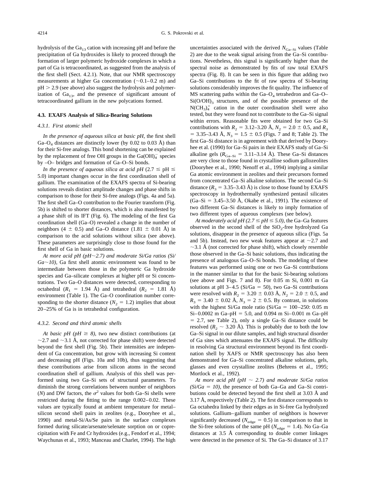hydrolysis of the  $Ga_{13}$  cation with increasing pH and before the precipitation of Ga hydroxides is likely to proceed through the formation of larger polymeric hydroxide complexes in which a part of Ga is tetracoordinated, as suggested from the analysis of the first shell (Sect. 4.2.1). Note, that our NMR spectroscopy measurements at higher Ga concentration  $(\sim 0.1-0.2 \text{ m})$  and  $pH > 2.9$  (see above) also suggest the hydrolysis and polymerization of  $Ga_{13}$ , and the presence of significant amount of tetracoordinated gallium in the new polycations formed.

### **4.3. EXAFS Analysis of Silica-Bearing Solutions**

# *4.3.1. First atomic shell*

*In the presence of aqueous silica at basic pH,* the first shell Ga– $O_4$  distances are distinctly lower (by 0.02 to 0.03 Å) than for their Si-free analogs. This bond shortening can be explained by the replacement of free OH groups in the  $Ga(OH)<sub>4</sub><sup>-</sup>$  species by –O– bridges and formation of Ga–O–Si bonds.

*In the presence of aqueous silica at acid pH* (2.7  $\leq$  pH  $\leq$ 5.0) important changes occur in the first coordination shell of gallium. The examination of the EXAFS spectra of Si-bearing solutions reveals distinct amplitude changes and phase shifts in comparison to those for their Si-free analogs ([Figs. 4a](#page-5-0) and 5a). The first shell Ga–O contribution to the Fourier transform ([Fig.](#page-6-0) [5b](#page-6-0)) is shifted to shorter distances, which is also manifested by a phase shift of its IFT ([Fig. 6](#page-7-0)). The modeling of the first Ga coordination shell (Ga–O) revealed a change in the number of neighbors (4  $\pm$  0.5) and Ga–O distance (1.81  $\pm$  0.01 Å) in comparison to the acid solutions without silica (see above). These parameters are surprisingly close to those found for the first shell of Ga in basic solutions.

*At more acid pH (pH2.7) and moderate Si/Ga ratios (Si/*  $Ga \sim 10$ ), Ga first shell atomic environment was found to be intermediate between those in the polymeric Ga hydroxide species and Ga–silicate complexes at higher pH or Si concentrations. Two Ga–O distances were detected, corresponding to octahedral  $(R_1 = 1.94 \text{ Å})$  and tetrahedral  $(R_2 = 1.81 \text{ Å})$ environment [\(Table 1](#page-9-0)). The Ga–O coordination number corresponding to the shorter distance ( $N_2 = 1.2$ ) implies that about 20–25% of Ga is in tetrahedral configuration.

### *4.3.2. Second and third atomic shells*

*At basic pH (pH*  $\geq$  *8),* two new distinct contributions (at  $\sim$ 2.7 and  $\sim$ 3.1 Å, not corrected for phase shift) were detected beyond the first shell ([Fig. 5b](#page-6-0)). Their intensities are independent of Ga concentration, but grow with increasing Si content and decreasing pH ([Figs. 10a and 10b\)](#page-13-0), thus suggesting that these contributions arise from silicon atoms in the second coordination shell of gallium. Analysis of this shell was performed using two Ga–Si sets of structural parameters. To diminish the strong correlations between number of neighbors (*N*) and DW factors, the  $\sigma^2$  values for both Ga–Si shells were restricted during the fitting to the range 0.002–0.02. These values are typically found at ambient temperature for metal– silicon second shell pairs in zeolites (e.g., [Dooryhee et al.,](#page-18-0) [1990\)](#page-18-0) and metal-Si/As/Se pairs in the surface complexes formed during silicate/arsenate/selenate sorption on or coprecipitation with Fe and Cr hydroxides (e.g., [Fendorf et al., 1994;](#page-19-0) [Waychunas et al., 1993; Manceau and Charlet, 1994\)](#page-19-0). The high

uncertainties associated with the derived  $N_{\text{Ga-Si}}$  values ([Table](#page-10-0) [2\)](#page-10-0) are due to the weak signal arising from the Ga–Si contributions. Nevetheless, this signal is significantly higher than the spectral noise as demonstrated by fits of raw total EXAFS spectra [\(Fig. 8](#page-8-0)). It can be seen in this figure that adding two Ga–Si contributions to the fit of raw spectra of Si-bearing solutions considerably improves the fit quality. The influence of  $MS$  scattering paths within the Ga- $O_4$  tetrahedron and Ga-O- $Si(O/OH)_{3}$  structures, and of the possible presence of the  $N(CH_3)_4^+$  cation in the outer coordination shell were also tested, but they were found not to contribute to the Ga–Si signal within errors. Reasonable fits were obtained for two Ga–Si contributions with  $R_2 = 3.12-3.20 \text{ Å}, N_2 = 2.0 \pm 0.5, \text{ and } R_3$  $=$  3.35–3.43 Å,  $N_3$  = 1.5  $\pm$  0.5 ([Figs. 7](#page-7-0) and [8](#page-8-0); [Table 2](#page-10-0)). The first Ga–Si distance is in agreement with that derived by [Doory](#page-18-0)[hee et al. \(1990\)](#page-18-0) for Ga–Si pairs in their EXAFS study of Ga–Si alkaline gels ( $R_{Ga-Si} = 3.11-3.14$  Å). These Ga–Si distances are very close to those found in crystalline sodium gallozeolites [\(Dooryhee et al., 1990; Nenoff et al., 1994\)](#page-18-0) implying a similar Ga atomic environment in zeolites and their precursors formed from concentrated Ga–Si alkaline solutions. The second Ga–Si distance  $(R_3 = 3.35-3.43 \text{ Å})$  is close to those found by EXAFS spectroscopy in hydrothermally synthesized pentasil silicates  $(Ga-Si = 3.45-3.50 \text{ Å}$ , [Okabe et al., 1991\).](#page-19-0) The existence of two different Ga–Si distances is likely to imply formation of two different types of aqueous complexes (see below).

*At moderately acid pH* (2.7  $\leq$  *pH*  $\leq$  5.0), the Ga–Ga features observed in the second shell of the  $SiO<sub>2</sub>$ -free hydrolyzed Ga solutions, disappear in the presence of aqueous silica [\(Figs. 5a](#page-6-0) [and 5b\)](#page-6-0). Instead, two new weak features appear at  $\sim$ 2.7 and  $\sim$ 3.1 Å (not corrected for phase shift), which closely resemble those observed in the Ga–Si basic solutions, thus indicating the presence of analogous Ga–O–Si bonds. The modeling of these features was performed using one or two Ga–Si contributions in the manner similar to that for the basic Si-bearing solutions (see above and [Figs. 7](#page-7-0) and [8\)](#page-8-0). For 0.05 m Si, 0.001 m Ga solutions at pH  $3-4.5$  (Si/Ga = 50), two Ga–Si contributions were resolved with  $R_2 = 3.20 \pm 0.03$  Å,  $N_2 = 2.0 \pm 0.5$ , and  $R_3 = 3.40 \pm 0.02$  Å,  $N_3 = 2 \pm 0.5$ . By contrast, in solutions with the highest Si/Ga mole ratio (Si/Ga =  $100-250$ : 0.05 m Si–0.0002 m Ga–pH = 5.0, and 0.094 m Si–0.001 m Ga–pH  $= 2.7$ , see [Table 2](#page-10-0)), only a single Ga–Si distance could be resolved ( $R_2 \sim 3.20$  Å). This is probably due to both the low Ga–Si signal in our dilute samples, and high structural disorder of Ga sites which attenuates the EXAFS signal. The difficulty in resolving Ga structural environment beyond its first coordination shell by XAFS or NMR spectroscopy has also been demonstrated for Ga–Si concentrated alkaline solutions, gels, glasses and even crystalline zeolites [\(Behrens et al., 1995;](#page-18-0) [Mortlock et al., 1992\)](#page-18-0).

*At more acid pH (pH*  $\sim$  *2.7) and moderate Si/Ga ratios*  $(Si/Ga = 10)$ , the presence of both Ga–Ga and Ga–Si contributions could be detected beyond the first shell at 3.03 Å and 3.17 Å, respectively [\(Table 2](#page-10-0)). The first distance corresponds to Ga octahedra linked by their edges as in Si-free Ga hydrolyzed solutions. Gallium–gallium number of neighbors is however significantly decreased ( $N_{\text{edge}} = 0.5$ ) in comparison to that in the Si-free solutions of the same pH ( $N_{\text{edge}} = 1.4$ ). No Ga–Ga distances at 3.5 Å corresponding to double corner linkages were detected in the presence of Si. The Ga–Si distance of 3.17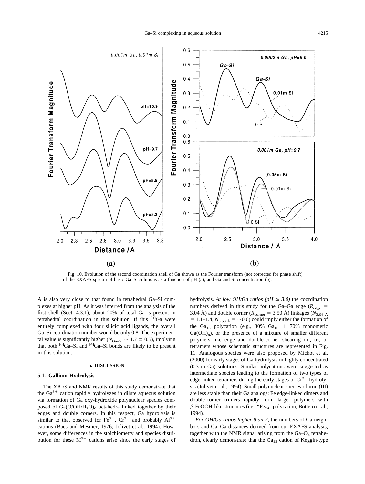<span id="page-13-0"></span>

Fig. 10. Evolution of the second coordination shell of Ga shown as the Fourier transform (not corrected for phase shift) of the EXAFS spectra of basic Ga–Si solutions as a function of pH (a), and Ga and Si concentration (b).

Å is also very close to that found in tetrahedral Ga–Si complexes at higher pH. As it was inferred from the analysis of the first shell (Sect. 4.3.1), about 20% of total Ga is present in tetrahedral coordination in this solution. If this  $[4]$ Ga were entirely complexed with four silicic acid ligands, the overall Ga–Si coordination number would be only 0.8. The experimental value is significantly higher ( $N_{Ga-Si} \sim 1.7 \pm 0.5$ ), implying that both  $^{[6]}Ga-Si$  and  $^{[4]}Ga-Si$  bonds are likely to be present in this solution.

#### **5. DISCUSSION**

# **5.1. Gallium Hydrolysis**

The XAFS and NMR results of this study demonstrate that the  $Ga^{3+}$  cation rapidly hydrolyzes in dilute aqueous solution via formation of Ga oxy-hydroxide polynuclear species composed of  $Ga(O/OH/H_2O)_6$  octahedra linked together by their edges and double corners. In this respect, Ga hydrolysis is similar to that observed for Fe<sup>3+</sup>,  $Cr^{3+}$  and probably  $Al^{3+}$ cations [\(Baes and Mesmer, 1976; Jolivet et al., 1994\).](#page-18-0) However, some differences in the stoichiometry and species distribution for these  $M^{3+}$  cations arise since the early stages of hydrolysis. *At low OH/Ga ratios (pH*  $\leq$  3.0) the coordination numbers derived in this study for the Ga–Ga edge ( $R_{\text{edge}}$ ) 3.04 Å) and double corner ( $R_{\text{corner}} = 3.50$  Å) linkages ( $N_{3.04 \text{ Å}}$  $= 1.1-1.4$ ,  $N_{3.50 \text{ Å}} = -0.6$ ) could imply either the formation of the Ga<sub>13</sub> polycation (e.g., 30% Ga<sub>13</sub> + 70% monomeric Ga(OH)<sub>n</sub>), or the presence of a mixture of smaller different polymers like edge and double-corner shearing di-, tri, or tetramers whose schematic structures are represented in [Fig.](#page-14-0) [11](#page-14-0). Analogous species were also proposed by [Michot et al.](#page-19-0) [\(2000\)](#page-19-0) for early stages of Ga hydrolysis in highly concentrated (0.3 m Ga) solutions. Similar polycations were suggested as intermediate species leading to the formation of two types of edge-linked tetramers during the early stages of  $Cr^{3+}$  hydrolysis [\(Jolivet et al., 1994\).](#page-19-0) Small polynuclear species of iron (III) are less stable than their Ga analogs: Fe edge-linked dimers and double-corner trimers rapidly form larger polymers with  $\beta$ -FeOOH-like structures (i.e., "Fe<sub>24</sub>" polycation, [Bottero et al.,](#page-18-0) [1994\)](#page-18-0).

*For OH/Ga ratios higher than 2,* the numbers of Ga neighbors and Ga–Ga distances derived from our EXAFS analysis, together with the NMR signal arising from the  $Ga-O_4$  tetrahedron, clearly demonstrate that the  $Ga_{13}$  cation of Keggin-type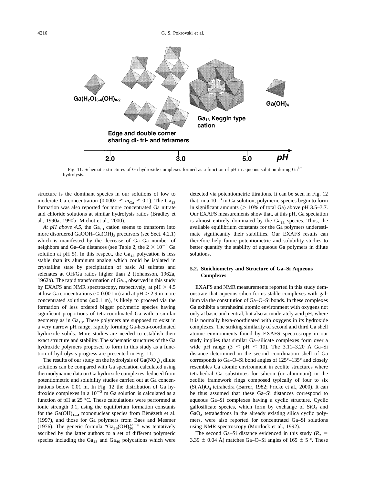<span id="page-14-0"></span>

Fig. 11. Schematic structures of Ga hydroxide complexes formed as a function of pH in aqueous solution during  $Ga<sup>3+</sup>$ hydrolysis.

structure is the dominant species in our solutions of low to moderate Ga concentration  $(0.0002 \le m_{Ga} \le 0.1)$ . The Ga<sub>13</sub> formation was also reported for more concentrated Ga nitrate and chloride solutions at similar hydrolysis ratios [\(Bradley et](#page-18-0) [al., 1990a, 1990b; Michot et al., 2000\).](#page-18-0)

*At pH above 4.5,* the  $Ga_{13}$  cation seems to transform into more disordered GaOOH–Ga(OH)<sub>3</sub> precursors (see Sect. 4.2.1) which is manifested by the decrease of Ga–Ga number of neighbors and Ga–Ga distances (see [Table 2,](#page-10-0) the  $2 \times 10^{-4}$  Ga solution at pH 5). In this respect, the  $Ga_{13}$  polycation is less stable than its aluminum analog which could be isolated in crystalline state by precipitation of basic Al sulfates and selenates at OH/Ga ratios higher than 2 [\(Johansson, 1962a,](#page-19-0) [1962b\).](#page-19-0) The rapid transformation of  $Ga_{13}$  observed in this study by EXAFS and NMR spectroscopy, respectively, at  $pH > 4.5$ at low Ga concentrations ( $< 0.001$  m) and at pH  $> 2.9$  in more concentrated solutions  $(\geq 0.1 \text{ m})$ , is likely to proceed via the formation of less ordered bigger polymeric species having significant proportions of tetracoordinated Ga with a similar geometry as in  $Ga_{13}$ . These polymers are supposed to exist in a very narrow pH range, rapidly forming Ga-hexa-coordinated hydroxide solids. More studies are needed to establish their exact structure and stability. The schematic structures of the Ga hydroxide polymers proposed to form in this study as a function of hydrolysis progress are presented in Fig. 11.

The results of our study on the hydrolysis of  $Ga(NO<sub>3</sub>)<sub>3</sub>$  dilute solutions can be compared with Ga speciation calculated using thermodynamic data on Ga hydroxide complexes deduced from potentiometric and solubility studies carried out at Ga concentrations below 0.01 m. In [Fig. 12](#page-15-0) the distribution of Ga hydroxide complexes in a  $10^{-3}$  m Ga solution is calculated as a function of pH at 25 °C. These calculations were performed at ionic strength 0.1, using the equilibrium formation constants for the  $Ga(OH)_{1-4}$  mononuclear species from Bénézeth et al. [\(1997\)](#page-18-0), and those for Ga polymers from [Baes and Mesmer](#page-18-0) [\(1976\)](#page-18-0). The generic formula " $Ga_{26}(OH)_{26}^{13+}$ " was tentatively ascribed by the latter authors to a set of different polymeric species including the  $Ga_{13}$  and  $Ga_{40}$  polycations which were

detected via potentiometric titrations. It can be seen in [Fig. 12](#page-15-0) that, in a  $10^{-3}$  m Ga solution, polymeric species begin to form in significant amounts ( $> 10\%$  of total Ga) above pH 3.5–3.7. Our EXAFS measurements show that, at this pH, Ga speciation is almost entirely dominated by the  $Ga_{13}$  species. Thus, the available equilibrium constants for the Ga polymers underestimate significantly their stabilities. Our EXAFS results can therefore help future potentiometric and solubility studies to better quantify the stability of aqueous Ga polymers in dilute solutions.

# **5.2. Stoichiometry and Structure of Ga–Si Aqueous Complexes**

EXAFS and NMR measurements reported in this study demonstrate that aqueous silica forms stable complexes with gallium via the constitution of Ga–O–Si bonds. In these complexes Ga exhibits a tetrahedral atomic environment with oxygens not only at basic and neutral, but also at moderately acid pH, where it is normally hexa-coordinated with oxygens in its hydroxide complexes. The striking similarity of second and third Ga shell atomic environments found by EXAFS spectroscopy in our study implies that similar Ga–silicate complexes form over a wide pH range  $(3 \leq pH \leq 10)$ . The 3.11–3.20 Å Ga–Si distance determined in the second coordination shell of Ga corresponds to Ga–O–Si bond angles of 125°–135° and closely resembles Ga atomic environment in zeolite structures where tetrahedral Ga substitutes for silicon (or aluminum) in the zeolite framework rings composed typically of four to six (Si,Al)O<sup>4</sup> tetrahedra [\(Barrer, 1982; Fricke et al., 2000\)](#page-18-0). It can be thus assumed that these Ga–Si distances correspond to aqueous Ga–Si complexes having a cyclic structure. Cyclic gallosilicate species, which form by exchange of  $SiO<sub>4</sub>$  and GaO<sub>4</sub> tetrahedrons in the already existing silica cyclic polymers, were also reported for concentrated Ga–Si solutions using NMR spectroscopy [\(Mortlock et al., 1992\)](#page-19-0).

The second Ga–Si distance evidenced in this study  $(R_2 =$ 3.39  $\pm$  0.04 Å) matches Ga–O–Si angles of 165  $\pm$  5 °. These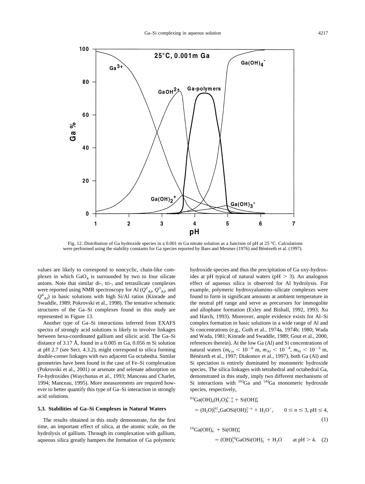<span id="page-15-0"></span>

Fig. 12. Distribution of Ga hydroxide species in a 0.001 m Ga nitrate solution as a function of pH at 25 °C. Calculations were performed using the stability constants for Ga species reported by [Baes and Mesmer \(1976\)](#page-18-0) and Bénézeth et al. (1997).

values are likely to correspond to noncyclic, chain-like complexes in which  $GaO<sub>4</sub>$  is surrounded by two to four silicate anions. Note that similar di-, tri-, and tetrasilicate complexes were reported using NMR spectroscopy for Al  $(Q^2_{A1}, Q^3_{A1})$ , and  $Q^4$ <sub>Al</sub>) in basic solutions with high Si/Al ratios [\(Kinrade and](#page-19-0) [Swaddle, 1989; Pokrovski et al., 1998\)](#page-19-0). The tentative schematic structures of the Ga–Si complexes found in this study are represented in [Figure 13.](#page-16-0)

Another type of Ga–Si interactions inferred from EXAFS spectra of strongly acid solutions is likely to involve linkages between hexa-coordinated gallium and silicic acid. The Ga–Si distance of 3.17 Å, found in a 0.005 m Ga, 0.056 m Si solution at pH 2.7 (see Sect. 4.3.2), might correspond to silica forming double-corner linkages with two adjacent Ga octahedra. Similar geometries have been found in the case of Fe–Si complexation [\(Pokrovski et al., 2001\)](#page-19-0) or arsenate and selenate adsorption on Fe-hydroxides [\(Waychunas et al., 1993; Manceau and Charlet,](#page-20-0) [1994; Manceau, 1995\)](#page-20-0). More measurements are required however to better quantify this type of Ga–Si interaction in strongly acid solutions.

# **5.3. Stabilities of Ga–Si Complexes in Natural Waters**

The results obtained in this study demonstrate, for the first time, an important effect of silica, at the atomic scale, on the hydrolysis of gallium. Through its complexation with gallium, aqueous silica greatly hampers the formation of Ga polymeric hydroxide species and thus the precipitation of Ga oxy-hydroxides at pH typical of natural waters ( $pH > 3$ ). An analogous effect of aqueous silica is observed for Al hydrolysis. For example, polymeric hydroxyalumino–silicate complexes were found to form in significant amounts at ambient temperature in the neutral pH range and serve as precursors for immogolite and allophane formation [\(Exley and Bishall, 1992, 1993; Xu](#page-19-0) [and Harch, 1993\)](#page-19-0). Moreover, ample evidence exists for Al–Si complex formation in basic solutions in a wide range of Al and Si concentrations (e.g., Guth et al., 1974a, 1974b; [1980; Wada](#page-19-0) [and Wada, 1981; Kinrade and Swaddle, 1989; Gout et al., 2000,](#page-19-0) references therein). At the low Ga (Al) and Si concentrations of natural waters ( $m_{Ga}$  < 10<sup>-6</sup> m,  $m_{Al}$  < 10<sup>-4</sup>,  $m_{Si}$  < 10<sup>-3</sup> m, Bénézeth et al., 1997; Diakonov et al., 1997), both Ga (Al) and Si speciation is entirely dominated by monomeric hydroxide species. The silica linkages with tetrahedral and octahedral Ga, demonstrated in this study, imply two different mechanisms of Si interactions with  $^{[6]}Ga$  and  $^{[4]}Ga$  monomeric hydroxide species, respectively,

$$
{}^{[6]}Ga(OH)_n(H_2O)_{6-n}^{3-n} + Si(OH)_4^0
$$
  
=  $(H_2O)_{5-n}^{[6]}GaOSi(OH)_3^{2-n} + H_3O^+, \qquad 0 \le n \le 3, pH \le 4,$  (1)

$$
^{[4]}Ga(OH)_4^- + Si(OH)_4^0
$$
  
=  $(OH)_3^{[4]}GaOSi(OH)_3^- + H_2O$  at pH > 4. (2)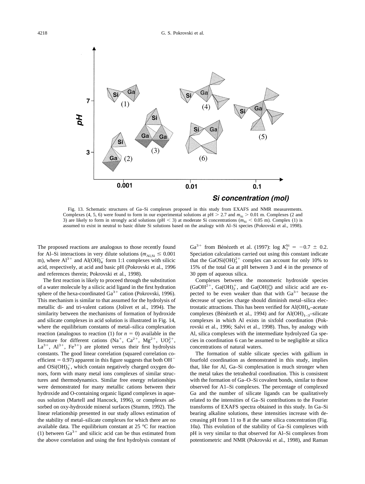<span id="page-16-0"></span>

Fig. 13. Schematic structures of Ga–Si complexes proposed in this study from EXAFS and NMR measurements. Complexes (4, 5, 6) were found to form in our experimental solutions at pH  $> 2.7$  and  $m_{\rm Si} > 0.01$  m. Complexes (2 and 3) are likely to form in strongly acid solutions ( $pH < 3$ ) at moderate Si concentrations ( $m_{Si} < 0.05$  m). Complex (1) is assumed to exist in neutral to basic dilute Si solutions based on the analogy with Al–Si species [\(Pokrovski et al., 1998\).](#page-19-0)

The proposed reactions are analogous to those recently found for Al–Si interactions in very dilute solutions ( $m_{\text{Al,Si}} \leq 0.001$ ) m), where  $Al^{3+}$  and  $Al(OH)<sub>4</sub>$  form 1:1 complexes with silicic acid, respectively, at acid and basic pH [\(Pokrovski et al., 1996](#page-19-0) and references therein; [Pokrovski et al., 1998\).](#page-19-0)

The first reaction is likely to proceed through the substitution of a water molecule by a silicic acid ligand in the first hydration sphere of the hexa-coordinated  $Ga^{3+}$  cation [\(Pokrovski, 1996\).](#page-19-0) This mechanism is similar to that assumed for the hydrolysis of metallic di- and tri-valent cations [\(Jolivet et al., 1994\)](#page-19-0). The similarity between the mechanisms of formation of hydroxide and silicate complexes in acid solution is illustrated in [Fig. 14,](#page-17-0) where the equilibrium constants of metal–silica complexation reaction (analogous to reaction (1) for  $n = 0$ ) available in the literature for different cations (Na<sup>+</sup>, Ca<sup>2+</sup>, Mg<sup>2+</sup>, UO<sub>2</sub><sup>+</sup>,  $La^{3+}$ ,  $Al^{3+}$ ,  $Fe^{3+}$ ) are plotted versus their first hydrolysis constants. The good linear correlation (squared correlation coefficient  $= 0.97$ ) apparent in this figure suggests that both OH<sup>-</sup> and  $OSi(OH)_3^-$ , which contain negatively charged oxygen donors, form with many metal ions complexes of similar structures and thermodynamics. Similar free energy relationships were demonstrated for many metallic cations between their hydroxide and O-containing organic ligand complexes in aqueous solution [\(Martell and Hancock, 1996\),](#page-19-0) or complexes adsorbed on oxy-hydroxide mineral surfaces [\(Stumm, 1992\).](#page-20-0) The linear relationship presented in our study allows estimation of the stability of metal–silicate complexes for which there are no available data. The equilibrium constant at 25 °C for reaction (1) between  $Ga^{3+}$  and silicic acid can be thus estimated from the above correlation and using the first hydrolysis constant of

Ga<sup>3+</sup> from Bénézeth et al. (1997): log  $K_1^{Si} = -0.7 \pm 0.2$ . Speciation calculations carried out using this constant indicate that the GaOSi(OH) $_3^{2+}$  complex can account for only 10% to 15% of the total Ga at pH between 3 and 4 in the presence of 30 ppm of aqueous silica.

Complexes between the monomeric hydroxide species  $(GaOH<sup>2+</sup>, Ga(OH)<sup>2</sup>_{2}$ , and  $Ga(OH)<sup>o</sup>_{3}$  and silicic acid are expected to be even weaker than that with  $Ga^{3+}$  because the decrease of species charge should diminish metal–silica electrostatic attractions. This has been verified for Al(OH)*n*–acetate complexes (Bénézeth et al., 1994) and for  $Al(OH)_{1-3}$ –silicate complexes in which Al exists in sixfold coordination [\(Pok](#page-19-0)[rovski et al., 1996; Salvi et al., 1998\).](#page-19-0) Thus, by analogy with Al, silica complexes with the intermediate hydrolyzed Ga species in coordination 6 can be assumed to be negligible at silica concentrations of natural waters.

The formation of stable silicate species with gallium in fourfold coordination as demonstrated in this study, implies that, like for Al, Ga–Si complexation is much stronger when the metal takes the tetrahedral coordination. This is consistent with the formation of Ga–O–Si covalent bonds, similar to those observed for A1–Si complexes. The percentage of complexed Ga and the number of silicate ligands can be qualitatively related to the intensities of Ga–Si contributions to the Fourier transforms of EXAFS spectra obtained in this study. In Ga–Si bearing alkaline solutions, these intensities increase with decreasing pH from 11 to 8 at the same silica concentration ([Fig.](#page-13-0) [10a](#page-13-0)). This evolution of the stability of Ga–Si complexes with pH is very similar to that observed for Al–Si complexes from potentiometric and NMR [\(Pokrovski et al., 1998\),](#page-19-0) and Raman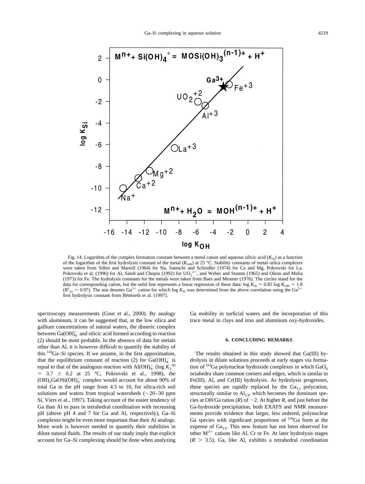<span id="page-17-0"></span>

Fig. 14. Logarithm of the complex formation constant between a metal cation and aqueous silicic acid  $(K_{\rm Si})$  as a function of the logarithm of the first hydrolysis constant of the metal  $(K<sub>OH</sub>)$  at 25 °C. Stability constants of metal–silica complexes were taken from Sillen and Martell (1964) for Na, [Santschi and Schindler \(1974\)](#page-20-0) for Ca and Mg, Pokrovski for La, [Pokrovski et al. \(1996\)](#page-19-0) for Al, [Satoh and Chopin \(1992\)](#page-20-0) for  $UO_2^{2+}$ , and [Weber and Stumm \(1965\)](#page-20-0) and [Olson and Melia](#page-19-0) [\(1973\)](#page-19-0) for Fe. The hydrolysis constants for the metals were taken from [Baes and Mesmer \(1976\)](#page-18-0). The circles stand for the data for corresponding cation, but the solid line represents a linear regression of these data:  $\log K_{\text{Si}} = 0.85 \log K_{\text{OH}} + 1.8$  $(R^2_{xy} = 0.97)$ . The star denotes Ga<sup>3+</sup> cation for which log  $K_{Si}$  was determined from the above correlation using the Ga<sup>3+</sup> first hydrolysis constant from Bénézeth et al. (1997).

spectroscopy measurements [\(Gout et al., 2000\).](#page-19-0) By analogy with aluminum, it can be suggested that, at the low silica and gallium concentrations of natural waters, the dimeric complex between  $Ga(OH)_4^-$  and silicic acid formed according to reaction (2) should be most probable. In the absence of data for metals other than Al, it is however difficult to quantify the stability of this [4]Ga–Si species. If we assume, in the first appoximation, that the equilibrium constant of reaction (2) for  $Ga(OH)_4^-$  is equal to that of the analogous reaction with  $\text{Al}(\text{OH})_4^-$  (log  $\text{K}_2^{\text{Al}}$  $= 3.7 \pm 0.2$  at 25 °C, [Pokrovski et al., 1998\)](#page-19-0), the  $(OH)_{3}GaOSi(OH)_{3}^{-}$  complex would account for about 90% of total Ga in the pH range from 4.5 to 10, for silica-rich soil solutions and waters from tropical watersheds  $(\sim 20-30$  ppm Si, [Viers et al., 1997\)](#page-20-0). Taking account of the easier tendency of Ga than Al to pass in tetrahedral coordination with increasing pH (above pH 4 and 7 for Ga and Al, respectively), Ga–Si complexes might be even more important than their Al analogs. More work is however needed to quantify their stabilities in dilute natural fluids. The results of our study imply that explicit account for Ga–Si complexing should be done when analyzing Ga mobility in surficial waters and the incorporation of this trace metal in clays and iron and aluminum oxy-hydroxides.

# **6. CONCLUDING REMARKS**

The results obtained in this study showed that Ga(III) hydrolysis in dilute solutions proceeds at early stages via formation of  $^{[6]}$ Ga polynuclear hydroxide complexes in which GaO<sub>6</sub> octahedra share common corners and edges, which is similar to Fe(III), Al, and Cr(III) hydrolysis. As hydrolysis progresses, these species are rapidly replaced by the  $Ga_{13}$  polycation, structurally similar to  $Al<sub>13</sub>$ , which becomes the dominant species at OH/Ga ratios  $(R)$  of  $\sim$  2. At higher *R*, and just before the Ga-hydroxide precipitation, both EXAFS and NMR measurements provide evidence that larger, less ordered, polynuclear Ga species with significant proportions of  $[4]$ Ga form at the expense of  $Ga_{13}$ . This new feature has not been observed for other  $M^{3+}$  cations like Al, Cr or Fe. At later hydrolysis stages  $(R > 3.5)$ , Ga, like Al, exhibits a tetrahedral coordination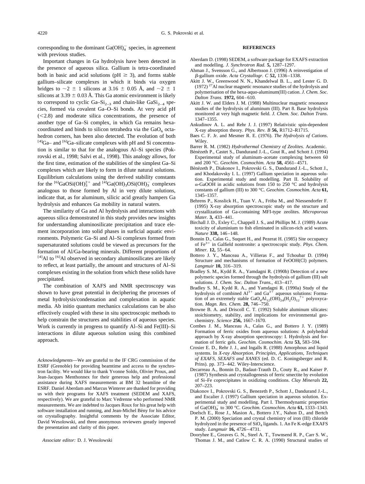<span id="page-18-0"></span>corresponding to the dominant  $Ga(OH)_4^-$  species, in agreement with previous studies. Important changes in Ga hydrolysis have been detected in

#### **REFERENCES**

- Aberdam D. (1998) SEDEM, a software package for EXAFS extraction and modelling. *J. Synchrotron Rad.* **5,** 1287–1297.
- Ahman J., Svensson G., and Albertsson J. (1996) A reinvestigation of -gallium oxide. *Acta Crystallogr. C* **52,** 1336–1338.
- Akitt J. W., Greenwood N. N., Khandelwal B. L., and Lester G. D.  $(1972)$ <sup>27</sup>Al nuclear magnetic resonance studies of the hydrolysis and polymerisation of the hexa-aquo-aluminum(III) cation. *J. Chem. Soc. Dalton Trans.* **1972,** 604–610.
- Akitt J. W. and Elders J. M. (1988) Multinuclear magnetic resonance studies of the hydrolysis of aluminum (III). Part 8. Base hydrolysis monitored at very high magnetic field. *J. Chem. Soc. Dalton Trans*. 1347–1355.
- Ankudinov A. L. and Rehr J. J. (1997) Relativistic spin-dependent X-ray absorption theory. *Phys. Rev. B* **56,** R1712–R1715.
- Baes C. F. Jr. and Mesmer R. E. (1976). *The Hydrolysis of Cations*. Wiley.
- Barrer R. M. (1982) *Hydrothermal Chemistry of Zeolites.* Academic.
- Bénézeth P., Castet S., Dandurand J.-L., Gout R., and Schott J. (1994) Experimental study of aluminum–acetate complexing between 60 and 200 °C. *Geochim. Cosmochim. Acta* **58,** 4561–4571.
- Bénézeth P., Diakonov I., Pokrovski G. S., Dandurand J.-L., Schott J., and Khodakovsky I. L. (1997) Gallium speciation in aqueous solution. Experimental study and modelling. Part II. Solubility of  $\alpha$ -GaOOH in acidic solutions from 150 to 250 °C and hydrolysis constants of gallium (III) to 300 °C. *Geochim. Cosmochim. Acta* **61,** 1345–1357.
- Behrens P., Kosslick H., Tuan V. A., Fröba M., and Niessendorfer F. (1995) X-ray absorption spectroscopic study on the structure and crystallization of Ga-containing MFI-type zeolites. *Microporous Mater.* **3,** 433–441.
- Birchall J. D., Exley C., Chappell J. S., and Phillips M. J. (1989) Acute toxicity of aluminium to fish eliminated in silicon-rich acid waters. *Nature* **338,** 146–148.
- Bonnin D., Calas G., Suquet H., and Pezerat H. (1985) Site occupancy of Fe3 in Galfield nontronite: a spectroscopic study. *Phys. Chem. Miner.* **12,** 55–64.
- Bottero J. Y., Manceau A., Villieras F., and Tchoubar D. (1994) Structure and mechanisms of formation of FeOOH(Cl) polymers. *Langmuir* **10,** 316–319.
- Bradley S. M., Kydd R. A., Yamdagni R. (1990b) Detection of a new polymeric species formed through the hydrolysis of gallium (III) salt solutions. *J. Chem. Soc. Dalton Trans.*, 413–417.
- Bradley S. M., Kydd R. A., and Yamdagni R. (1990a) Study of the hydrolysis of combined  $Al^{3+}$  and  $Ga^{3+}$  aqueous solutions: Formation of an extremely stable  $GaO_4Al_{12}(OH)_{24}(H_2O)_{12}^{7+}$  polyoxycation. *Magn. Res. Chem.* **28,** 746–750.
- Browne B. A. and Driscoll C. T. (1992) Soluble aluminum silicates: stoichiometry, stability, and implications for environmental geochemistry. *Science* **256,** 1667–1670.
- Combes J. M., Manceau A., Calas G., and Bottero J. Y. (1989) Formation of ferric oxides from aqueous solutions: A polyhedral approach by X-ray absorption spectroscopy: I. Hydrolysis and formation of ferric gels. *Geochim. Cosmochim. Acta* **53,** 583–594.
- Crosier E. D., Rehr J. J., and Ingalls R. (1988) Amorphous and liquid systems. In *X-ray Absorption. Principles, Applications, Techniques of EXAFS, SEXAFS and XANES* (ed. D. C. Koningsberger and R. Prins). pp. 373–442. Wiley-Interscience.
- Decarreau A., Bonnin D., Badaut-Trauth D., Couty R., and Kaiser P. (1987) Synthesis and crystallogenesis of ferric smectite by evolution of Si–Fe coprecipitates in oxidizing conditions. *Clay Minerals* **22,** 207–223.
- Diakonov I., Pokrovski G. S., Benezeth P., Schott J., Dandurand J.-L., and Escalier J. (1997) Gallium speciation in aqueous solution. Experimental study and modelling. Part I. Thermodynamic properties of Ga(OH)<sup>-</sup> to 300 °C. *Geochim. Cosmochim. Acta* **61,** 1333–1343.
- Doelsch E., Rose J., Masion A., Bottero J.Y., Nahon D., and Bertch P. M. (2000) Speciation and crystal chemistry of iron (III) chloride hydrolyzed in the presence of SiO<sub>4</sub> ligands. 1. An Fe K-edge EXAFS study. *Langmuir* **16,** 4726–4731.
- Dooryhee E., Greaves G. N., Steel A. T., Townsend R. P., Carr S. W., Thomas J. M., and Catlow C. R. A. (1990) Structural studies of

the presence of aqueous silica. Gallium is tetra-coordinated both in basic and acid solutions ( $pH \geq 3$ ), and forms stable gallium–silicate complexes in which it binds via oxygen bridges to  $\sim$ 2  $\pm$  1 silicons at 3.16  $\pm$  0.05 Å, and  $\sim$ 2  $\pm$  1 silicons at  $3.39 \pm 0.03$  Å. This Ga atomic environment is likely to correspond to cyclic Ga–Si<sub>2–3</sub> and chain-like GaSi<sub>2–4</sub> species, formed via covalent Ga–O–Si bonds. At very acid pH  $(<2.8$ ) and moderate silica concentrations, the presence of another type of Ga–Si complex, in which Ga remains hexacoordinated and binds to silicon tetrahedra via the  $GaO<sub>6</sub>$  octahedron corners, has been also detected. The evolution of both  $[4]$ Ga– and  $[6]$ Ga–silicate complexes with pH and Si concentration is similar to that for the analogous Al–Si species [\(Pok](#page-19-0)[rovski et al., 1998; Salvi et al., 1998\)](#page-19-0). This analogy allows, for the first time, estimation of the stabilities of the simplest Ga–Si complexes which are likely to form in dilute natural solutions. Equilibrium calculations using the derived stability constants for the <sup>[6]</sup>GaOSi(OH)<sub>3</sub><sup>+</sup> and <sup>[4]</sup>Ga(OH)<sub>3</sub>OSi(OH)<sub>3</sub><sup>-</sup> complexes analogous to those formed by Al in very dilute solutions, indicate that, as for aluminum, silicic acid greatly hampers Ga hydrolysis and enhances Ga mobility in natural waters.

The similarity of Ga and Al hydrolysis and interactions with aqueous silica demonstrated in this study provides new insights for understanding aluminosilicate precipitation and trace element incorporation into solid phases in surficial aquatic environments. Polymeric Ga–Si and Al–Si complexes formed from supersaturated solutions could be viewed as precursors for the formation of Al/Ga-bearing minerals. Different proportions of  $[4]$ Al to  $[6]$ Al observed in secondary aluminosilicates are likely to reflect, at least partially, the amount and structures of Al–Si complexes existing in the solution from which these solids have precipitated.

The combination of XAFS and NMR spectroscopy was shown to have great potential in deciphering the processes of metal hydrolysis/condensation and complexation in aquatic media. Ab initio quantum mechanics calculations can be also effectively coupled with these in situ spectroscopic methods to help constrain the structures and stabilities of aqueous species. Work is currently in progress to quantify Al–Si and Fe(III)–Si interactions in dilute aqueous solution using this combined approach.

*Acknowledgments*—We are grateful to the IF CRG commission of the ESRF (Grenoble) for providing beamtime and access to the synchrotron facility. We would like to thank Yvonne Soldo, Olivier Proux, and Jean-Jacques Menthonnex for their generous help and professional assistance during XAFS measurements at BM 32 beamline of the ESRF. Daniel Aberdam and Marcus Winterer are thanked for providing us with their programs for XAFS treatment (SEDEM and XAFS, respectively). We are grateful to Marc Vedrenne who performed NMR measurements. We are indebted to Jacques Roux for his great help with software installation and running, and Jean-Michel Bény for his advice on crystallography. Insightful comments by the Associate Editor, David Wesolowski, and three anonymous reviewers greatly impoved the presentation and clarity of this paper.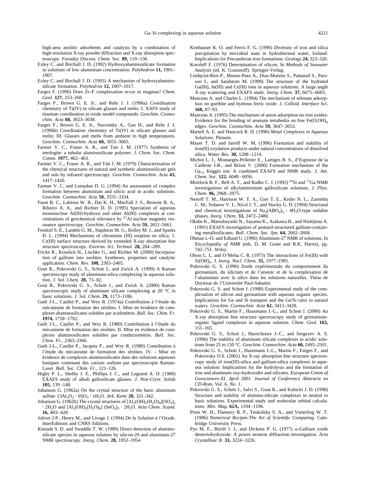<span id="page-19-0"></span>high-area zeolitic adsorbents and catalysts by a combination of high-resolution X-ray powder diffraction and X-ray absorption spectroscopy. *Faraday Discuss. Chem. Soc.* **89,** 119–136.

- Exley C. and Birchall J. D. (1992) Hydroxyaluminosilicate formation in solutions of low aluminium concentration. *Polyhedron* **11,** 1901– 1907.
- Exley C. and Birchall J. D. (1993) A mechanism of hydroxyaluminosilicate formation. *Polyhedron* **12,** 1007–1017.
- Farges F. (1996) Does Zr–F complexation occur in magmas? *Chem. Geol.* **127,** 253–268.
- Farges F., Brown G. E. Jr., and Rehr J. J. (1996a) Coordination chemistry of Ti(IV) in silicate glasses and melts: I. XAFS study of titanium coordination in oxide model compounds. *Geochim. Cosmochim. Acta* **60,** 3023–3038.
- Farges F., Brown G. E. Jr., Navrotsky A., Gan H., and Rehr J. J. (1996b) Coordination chemistry of Ti(IV) in silicate glasses and melts: III. Glasses and melts from ambient to high temperatures. *Geochim. Cosmochim. Acta* **60,** 3055–3065.
- Farmer V. C., Fraser A. R., and Tait J. M. (1977) Synthesis of imologite: a tubular aluminosilicate polymer. *J. Chem. Soc. Chem. Comm.* **1977,** 462–463.
- Farmer V. C., Fraser A. R., and Tait J. M. (1979) Characterization of the chemical structures of natural and synthetic aluminosilicate gels and sols by infrared spectroscopy. *Geochim. Cosmochim. Acta* **43,** 1417–1420.
- Farmer V. C. and Lumsdon D. G. (1994) An assessment of complex formation between aluminium and silicic acid in acidic solutions. *Geochim. Cosmochim. Acta* **58,** 3331–3334.
- Faust B. C., Labiosa W. B., Dai K. H., MacFall J. S., Browne B. A., Ribeiro A. A., and Richter D. D. (1995) Speciation of aqueous mononuclear Al(III)-hydroxo and other Al(III) complexes at concentrations of geochemical relevance by <sup>27</sup>Al nuclear magnetic resonance spectroscopy. *Geochim. Cosmochim. Acta* **59,** 2651–5661.
- Fendorf S. E., Lamble G. M., Stapleton M. G., Kelley M. J., and Sparks D. L. (1994) Mechanisms of chromium (III) sorption on silica. 1. Cr(III) surface structure derived by extended X-ray absorption fine structure spectroscopy. *Environ. Sci. Technol.* **28,** 284–289.
- Fricke R., Kosslick H., Lischke G., and Richter M. (2000) Incorporation of gallium into zeolites: Syntheses, properties and catalytic application. *Chem. Rev.* **100,** 2303–2405.
- Gout R., Pokrovski G. S., Schott J., and Zwick A. (1999) A Raman spectroscopy study of aluminum-silica complexing in aqueous solution. *J. Sol. Chem.* **28,** 73–82.
- Gout R., Pokrovski G. S., Schott J., and Zwick A. (2000) Raman spectroscopic study of aluminum silicate complexing at 20 °C in basic solutions. *J. Sol. Chem.* **29,** 1173–1186.
- Guth J-L., Caullet P., and Wey R. (1974a) Contribution à l'étude du mécanisme de formation des zéolites. I. Mise en évidence de complexes aluminosilicates solubles par acidime´trie. *Bull. Soc. Chim. Fr.* **1974,** 1758–1762.
- Guth J-L., Caullet P., and Wey R. (1980) Contribution à l'étude du mécanisme de formation des zéolites. II. Mise en évidence de complexes aluminosilicates solubles par conductométrie. *Bull. Soc. Chim. Fr.*, 2363–2366.
- Guth J-L., Caullet P., Jacques P., and Wey R. (1980) Contribution a` l'étude du mécanisme de formation des zéolites. IV. - Mise en évidence de complexes aluminosilicates dans des solutions aqueuses basiques contenant des cations sodium par spectroscopie Raman-Laser. *Bull. Soc. Chim. Fr.*, 121–126.
- Higby P. L., Shelby J. E., Phillips J. C., and Legrand A. D. (1988) EXAFS study of alkali gallosilicate glasses. *J. Non-Cryst. Solids* **105,** 139–148.
- Johanson G. (1962a) On the crystal structure of the basic aluminum  $\text{surface } 13 \text{Al}_2\text{O}_3 \cdot 6 \text{SO}_3 \cdot \text{xH}_2\text{O}$ . *Ark. Kemi* **20,** 321–342.
- Johanson G. (1962b) The crystal structures of  $\text{[Al}_2(\text{OH})_2\text{(H}_2\text{O})_8\text{]}(\text{SO}_4)_2$  $\cdot$  2H<sub>2</sub>O and [Al<sub>2</sub>(OH)<sub>2</sub>(H<sub>2</sub>O)<sub>8</sub>] (SeO<sub>4</sub>)<sub>2</sub>  $\cdot$  2H<sub>2</sub>O. *Acta Chem. Scand.* **16,** 403–420.
- Jolivet J-P., Henry M., and Livage J. (1994) *De la Solution a` l'Oxyde.* InterEditions and CNRS Editions.
- Kinrade S. D. and Swaddle T. W. (1989) Direct detection of aluminosilicate species in aqueous solution by silicon-29 and aluminum-27 NMR spectroscopy. *Inorg. Chem.* **28,** 1952–1954.
- Konhauser K. O. and Ferris F. G. (1996) Diversity of iron and silica precipitation by microbial mats in hydrothermal water, Iceland: Implications for Precambrian iron formations. *Geology* **24,** 323–326.
- Koroleff F. (1976) Determination of silicon. In *Methods of Seawater Analysis* (ed. K. Grassnoff). Springer-Verlag.
- Lindqvist-Reis P., Munoz-Paez A., Diaz-Moreno S., Pattanail S., Parsson I., and Sandstom M. (1998) The structure of the hydrated Ga(III), In(III) and Cr(III) ions in aqueous solutions. A large angle X-ray scattering and EXAFS study. *Inorg. Chem.* **37,** 6675–6683.
- Manceau A. and Charlet L. (1994) The mechanism of selenate adsorption on goethite and hydrous ferric oxide. *J. Colloid. Interface Sci.* **168,** 87–93.
- Manceau A. (1995) The mechanism of anion adsorption on iron oxides: Evidence for the bonding of arsenate tetrahedra on free  $Fe(O,OH)_{6}$ edges. *Geochim. Cosmochim. Acta* **59,** 3647–3653.
- Martell A. E. and Hancock R. D. (1996) *Metal Complexes in Aqueous Solutions.* Plenum.
- Mayer T. D. and Jarrell W. M. (1996) Formation and stability of iron(II) oxydation products under natural concentrations of dissolved silica. *Water Res*. **30,** 1208–1214.
- Michot L. J., Montargès-Pelletier E., Lartiges B. S., d'Espinose de la Caillerie J-B., and Briois V. (2000) Formation mechanism of the Ga<sub>13</sub> Keggin ion: A combined EXAFS and NMR study. *J. Am. Chem. Soc.* **122,** 6048–6056.
- Mortlock R. F., Bell A. T., and Radke C. J. (1992) <sup>29</sup>Si and <sup>71</sup>Ga NMR investigations of alkylammonium gallosilicate solutions. *J. Phys. Chem.* **96,** 2968–2975.
- Nenoff T. M., Harrison W. T. A., Gier T. E., Keder N. L., Zaremba C. M., Srdanov V. I., Nicol J. T., and Stucky G. D. (1994) Structural and chemical investigations of  $\text{Na}_3(\text{ABO}_4)_3 \cdot 4\text{H}_2\text{O-type}$  sodalite phases. *Inorg. Chem.* **33,** 2472–2480.
- Okabe K., Matsubayashi N., Sayama K., Arakawa H., and Nishijima A. (1991) EXAFS investigation of pentasil-structured gallium-containing metallosilicates. *Bull. Chem. Soc. Jpn.* **64,** 2602–2604.
- Öhman L-O. and Edlund U. (1996) Aluminum-27 NMR of solutions. In *Encyclopedia of NMR* (eds. D. M. Grant and R.K. Harris), pp. 742–751. Wiley.
- Olson L. L. and O'Melia C. R. (1973) The interactions of Fe(III) with Si(OH)<sup>4</sup> . *J. Inorg. Nucl. Chem.* **35,** 1977–1985.
- Pokrovski G. S. (1996) Etude expérimentale du comportement du germanium, du silicium et de l'arsenic et de la complexation de l'aluminium avec la silice dans les solutions naturelles. Thèse de Doctorat de l'Université Paul-Sabatier.
- Pokrovski G. S. and Schott J. (1998) Experimental study of the complexation of silicon and germanium with aqueous organic species. Implications for Ge and Si transport and the Ge/Si ratio in natural waters. *Geochim. Cosmochim. Acta* **62,** 3413–3428.
- Pokrovski G. S., Martin F., Hazemann J.-L., and Schott J. (2000) An X-ray absorption fine structure spectroscopy study of germaniumorganic ligand complexes in aqueous solution. *Chem. Geol.* **163,** 151–165.
- Pokrovski G. S., Schott J., Harrichoury J.-C., and Sergeyev A. S. (1996) The stability of aluminum silicate complexes in acidic solutions from 25 to 150 °C. *Geochim. Cosmochim. Acta* **60,** 2495–2501.
- Pokrovski G. S., Schott J., Hazemann J.-L., Martin F., Farges F., and Pokrovsky O.S. (2001) An X-ray absorption fine structure spectroscopy study of iron(III)-silica and gallium-silica complexes in aqueous solution: Implications for the hydrolysis and the formation of iron and aluminum oxy-hydroxides and silicates. *European Union of Geosciences-XI. April 2001. Journal of Conference Abstracts on CD-Rom, Vol. 6, No. 1*.
- Pokrovski G. S., Schott J., Salvi S., Gout R., and Kubicki J. D. (1998) Structure and stability of alumino-silicate complexes in neutral to basic solutions. Experimental study and molecular orbital calculations. *Min. Mag.* **62A,** 1194–1196.
- Press W. H., Flannery B. P., Teukolsky S. A., and Vetterling W. T. (1986) *Numerical Recipes-The Art of Scientific Computing.* Cambridge University Press.
- Pye M. F., Birtill J. J., and Dickens P. G. (1977)  $\alpha$ -Gallium oxide deuteriohydroxide: A power neutron diffraction investigation. *Acta Crystalloar B.* **33,** 3224–3226.